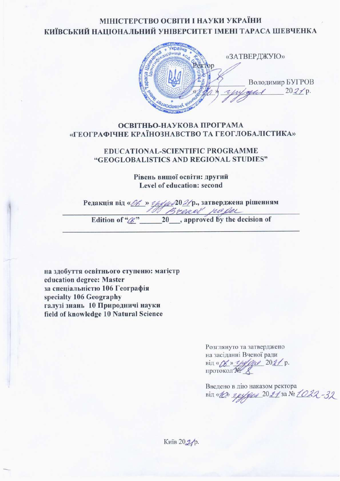## МІНІСТЕРСТВО ОСВІТИ І НАУКИ УКРАЇНИ КИЇВСЬКИЙ НАЦІОНАЛЬНИЙ УНІВЕРСИТЕТ ІМЕНІ ТАРАСА ШЕВЧЕНКА



#### ОСВІТНЬО-НАУКОВА ПРОГРАМА «ГЕОГРАФІЧНЕ КРАЇНОЗНАВСТВО ТА ГЕОГЛОБАЛІСТИКА»

#### **EDUCATIONAL-SCIENTIFIC PROGRAMME** "GEOGLOBALISTICS AND REGIONAL STUDIES"

Рівень вищої освіти: другий Level of education: second

Penakuis Bin « *Ob* » <u>epters</u> 20 2/p., затверджена рішенням<br>
Edition of " *B* reach frequencies"

на здобуття освітнього ступеню: магістр education degree: Master за спеціальністю 106 Географія specialty 106 Geography галузі знань 10 Природничі науки field of knowledge 10 Natural Science

> Розглянуто та затверджено на засіданні Вченої ради від «Дв » унутре 2021 р.

Введено в дію наказом ректора від «Ю» груди 2021 за № 1022-32

Київ 202/р.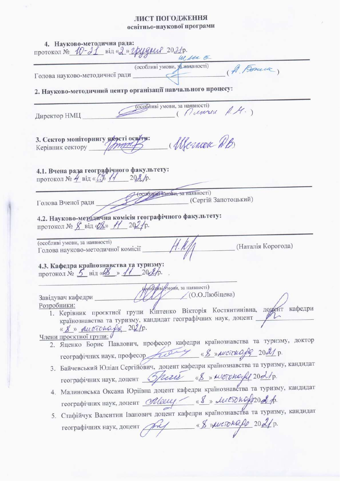# ЛИСТ ПОГОДЖЕННЯ<br>освітньо-наукової програми

| 4. Науково-методична рада:<br>протокол № 10-21 від «2» грудни 2021р.<br>W.M E                                                                                                            |
|------------------------------------------------------------------------------------------------------------------------------------------------------------------------------------------|
| (особливі умови, за наявності)<br>(A. Bosauce)                                                                                                                                           |
| Голова науково-методичної ради                                                                                                                                                           |
| 2. Науково-методичний центр організації навчального процесу:                                                                                                                             |
| (особливі умови, за наявності)<br>( Munroe A.M.)<br>Директор НМЦ                                                                                                                         |
| 3. Сектор моніторингу яжесті освіти:<br>( Memore DB<br>Керівник сектору детей                                                                                                            |
| 4.1. Вчена рада географічного факультету:<br>протокол № 4 від « $\mathbb{C}_p^*$ 11 202/р.                                                                                               |
| (особини «мови, за наявності)<br>(Сергій Запотоцький)<br>Голова Вченої ради                                                                                                              |
| 4.2. Науково-методична комісія географічного факультету:<br>протокол № $\cancel{\cancel{S}}$ від $\cancel{\cancel{\theta}}\cancel{\cancel{\times}}$ / 20 $\cancel{2}$ р.                 |
| (особливі умови, за наявності)<br>(Наталія Корогода)<br>Голова науково-методичної комісії                                                                                                |
| 4.3. Кафедра країнознавства та туризму:<br>протокол № 5 від «В» // 202/р.                                                                                                                |
| <b>фоберны</b> мови, за наявності)                                                                                                                                                       |
| $(0.0$ .Любіцева)<br>Завідувач кафедри                                                                                                                                                   |
| Розробники:<br>1. Керівник проєктної групи Кіптенко Вікторія Костянтинівна, доцент кафедри<br>країнознавства та туризму, кандидат географічних наук, доцент //<br>« 8 » ductonage 202/p. |
| Члени проєктної групи: О                                                                                                                                                                 |
| 2. Яценко Борис Павлович, професор кафедри країнознавства та туризму, доктор                                                                                                             |
| географічних наук, професор Дибров «8» листенору 2021 р.                                                                                                                                 |
| 3. Байчевський Юліан Сергійович, доцент кафедри країнознавства та туризму, кандидат                                                                                                      |
| географічних наук, доцент Sperit «8» местопо-ре 2021р.                                                                                                                                   |
| 4. Малиновська Оксана Юріївна доцент кафедри країнознавства та туризму, кандидат                                                                                                         |
| географічних наук, доцент Meleley. (8 » Лископодрод р.                                                                                                                                   |
| 5. Стафійчук Валентин Іванович доцент кафедри країнознавства та туризму, кандидат                                                                                                        |
| географічних наук, доцент $\begin{matrix} \mathcal{A} & \mathcal{A} & \mathcal{A} \end{matrix}$ « В » ристокар 202/р.                                                                    |
|                                                                                                                                                                                          |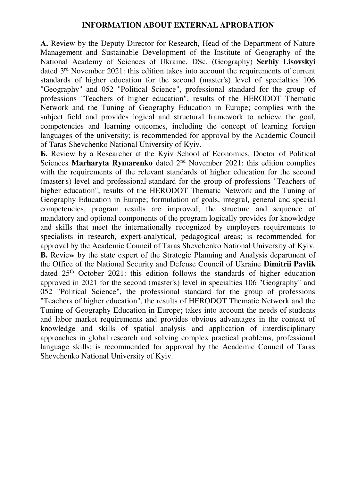#### **INFORMATION ABOUT EXTERNAL APROBATION**

**А.** Review by the Deputy Director for Research, Head of the Department of Nature Management and Sustainable Development of the Institute of Geography of the National Academy of Sciences of Ukraine, DSc. (Geography) **Serhiy Lisovskyi**  dated 3rd November 2021: this edition takes into account the requirements of current standards of higher education for the second (master's) level of specialties 106 "Geography" and 052 "Political Science", professional standard for the group of professions "Teachers of higher education", results of the HERODOT Thematic Network and the Tuning of Geography Education in Europe; complies with the subject field and provides logical and structural framework to achieve the goal, competencies and learning outcomes, including the concept of learning foreign languages of the university; is recommended for approval by the Academic Council of Taras Shevchenko National University of Kyiv.

**Б.** Review by a Researcher at the Kyiv School of Economics, Doctor of Political Sciences **Marharyta Rymarenko** dated 2nd November 2021: this edition complies with the requirements of the relevant standards of higher education for the second (master's) level and professional standard for the group of professions "Teachers of higher education", results of the HERODOT Thematic Network and the Tuning of Geography Education in Europe; formulation of goals, integral, general and special competencies, program results are improved; the structure and sequence of mandatory and optional components of the program logically provides for knowledge and skills that meet the internationally recognized by employers requirements to specialists in research, expert-analytical, pedagogical areas; is recommended for approval by the Academic Council of Taras Shevchenko National University of Kyiv. **B.** Review by the state expert of the Strategic Planning and Analysis department of the Office of the National Security and Defense Council of Ukraine **Dimitrii Pavlik**  dated  $25<sup>th</sup>$  October 2021: this edition follows the standards of higher education approved in 2021 for the second (master's) level in specialties 106 "Geography" and 052 "Political Science", the professional standard for the group of professions "Teachers of higher education", the results of HERODOT Thematic Network and the Tuning of Geography Education in Europe; takes into account the needs of students and labor market requirements and provides obvious advantages in the context of knowledge and skills of spatial analysis and application of interdisciplinary approaches in global research and solving complex practical problems, professional language skills; is recommended for approval by the Academic Council of Taras Shevchenko National University of Kyiv.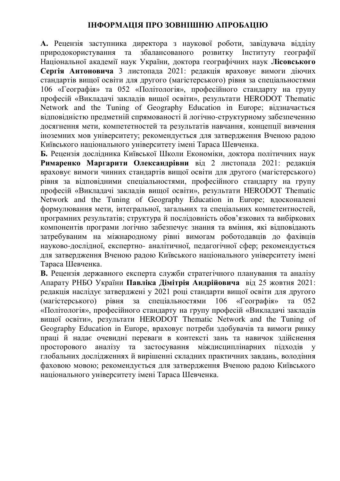## **ІНФОРМАЦІЯ ПРО ЗОВНІШНЮ АПРОБАЦІЮ**

**А.** Рецензія заступника директора з наукової роботи, завідувача відділу природокористування та збалансованого розвитку Інституту географії Національної академії наук України, доктора географічних наук **Лісовського Сергія Антоновича** 3 листопада 2021: редакція враховує вимоги діючих стандартів вищої освіти для другого (магістерського) рівня за спеціальностями 106 «Географія» та 052 «Політологія», професійного стандарту на групу професій «Викладачі закладів вищої освіти», результати HERODOT Thematic Network and the Tuning of Geography Education in Europe; відзначається відповідністю предметній спрямованості й логічно-структурному забезпеченню досягнення мети, компететностей та результатів навчання, концепції вивчення іноземних мов університету; рекомендується для затвердження Вченою радою Київського національного університету імені Тараса Шевченка.

**Б.** Рецензія дослідника Київської Школи Економіки, доктора політичних наук **Римаренко Маргарити Олександрівни** від 2 листопада 2021: редакція враховує вимоги чинних стандартів вищої освіти для другого (магістерського) рівня за відповідними спеціальностями, професійного стандарту на групу професій «Викладачі закладів вищої освіти», результати HERODOT Thematic Network and the Tuning of Geography Education in Europe; вдосконалені формулювання мети, інтегральної, загальних та спеціальних компетентностей, програмних результатів; структура й послідовність обов'язкових та вибіркових компонентів програми логічно забезпечує знання та вміння, які відповідають затребуваним на міжнародному рівні вимогам роботодавців до фахівців науково-дослідної, експертно- аналітичної, педагогічної сфер; рекомендується для затвердження Вченою радою Київського національного університету імені Тараса Шевченка.

**В.** Рецензія державного експерта служби стратегічного планування та аналізу Апарату РНБО України **Павліка Дімітрія Андрійовича** від 25 жовтня 2021: редакція наслідує затверджені у 2021 році стандарти вищої освіти для другого (магістерського) рівня за спеціальностями 106 «Географія» та 052 «Політологія», професійного стандарту на групу професій «Викладачі закладів вищої освіти», результати HERODOT Thematic Network and the Tuning of Geography Education in Europe, враховує потреби здобувачів та вимоги ринку праці й надає очевидні переваги в контексті зань та навичок здійснення просторового аналізу та застосування міждисциплінарних підходів глобальних дослідженнях й вирішенні складних практичних завдань, володіння фаховою мовою; рекомендується для затвердження Вченою радою Київського національного університету імені Тараса Шевченка.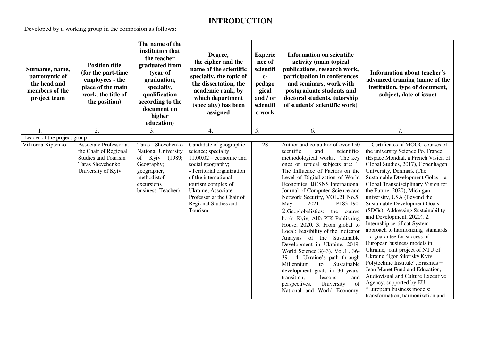# **INTRODUCTION**

Developed by a working group in the composion as follows:

| Surname, name,<br>patronymic of<br>the head and<br>members of the<br>project team | <b>Position title</b><br>(for the part-time<br>employees - the<br>place of the main<br>work, the title of<br>the position) | The name of the<br>institution that<br>the teacher<br>graduated from<br>(year of<br>graduation,<br>specialty,<br>qualification<br>according to the<br>document on<br>higher<br>education) | Degree,<br>the cipher and the<br>name of the scientific<br>specialty, the topic of<br>the dissertation, the<br>academic rank, by<br>which department<br>(specialty) has been<br>assigned                                                                         | <b>Experie</b><br>nce of<br>scientifi<br>$c-$<br>pedago<br>gical<br>and / or<br>scientifi<br>c work | <b>Information on scientific</b><br>activity (main topical<br>publications, research work,<br>participation in conferences<br>and seminars, work with<br>postgraduate students and<br>doctoral students, tutorship<br>of students' scientific work)                                                                                                                                                                                                                                                                                                                                                                                                                                                                                                                                                                  | Information about teacher's<br>advanced training (name of the<br>institution, type of document,<br>subject, date of issue)                                                                                                                                                                                                                                                                                                                                                                                                                                                                                                                                                                                                                                                                                                                     |
|-----------------------------------------------------------------------------------|----------------------------------------------------------------------------------------------------------------------------|-------------------------------------------------------------------------------------------------------------------------------------------------------------------------------------------|------------------------------------------------------------------------------------------------------------------------------------------------------------------------------------------------------------------------------------------------------------------|-----------------------------------------------------------------------------------------------------|----------------------------------------------------------------------------------------------------------------------------------------------------------------------------------------------------------------------------------------------------------------------------------------------------------------------------------------------------------------------------------------------------------------------------------------------------------------------------------------------------------------------------------------------------------------------------------------------------------------------------------------------------------------------------------------------------------------------------------------------------------------------------------------------------------------------|------------------------------------------------------------------------------------------------------------------------------------------------------------------------------------------------------------------------------------------------------------------------------------------------------------------------------------------------------------------------------------------------------------------------------------------------------------------------------------------------------------------------------------------------------------------------------------------------------------------------------------------------------------------------------------------------------------------------------------------------------------------------------------------------------------------------------------------------|
| 1.                                                                                | 2.                                                                                                                         | 3.                                                                                                                                                                                        | 4.                                                                                                                                                                                                                                                               | 5.                                                                                                  | 6.                                                                                                                                                                                                                                                                                                                                                                                                                                                                                                                                                                                                                                                                                                                                                                                                                   | 7.                                                                                                                                                                                                                                                                                                                                                                                                                                                                                                                                                                                                                                                                                                                                                                                                                                             |
| Leader of the project group<br>Viktoriia Kiptenko                                 | Associate Professor at<br>the Chair of Regional<br><b>Studies and Tourism</b><br>Taras Shevchenko<br>University of Kyiv    | Taras Shevchenko<br>National University<br>of Kyiv (1989;<br>Geography;<br>geographer,<br>methodistof<br>excursions<br>business. Teacher)                                                 | Candidate of geographic<br>science; specialty<br>$11.00.02$ – economic and<br>social geography;<br>«Territorial organization<br>of the international<br>tourism complex of<br>Ukraine; Associate<br>Professor at the Chair of<br>Regional Studies and<br>Tourism | 28                                                                                                  | Author and co-author of over 150<br>scentific<br>and<br>scientific-<br>methodological works. The key<br>ones on topical subjects are: 1.<br>The Influence of Factors on the<br>Level of Digitalization of World<br>Economies. IJCSNS International<br>Journal of Computer Science and<br>Network Security, VOL.21 No.5,<br>2021.<br>P183-190.<br>May<br>2. Geoglobalistics:<br>the course<br>book. Kyiv, Alfa-PIK Publishing<br>House, 2020. 3. From global to<br>Local: Feasibility of the Indicator<br>Analysis of the Sustainable<br>Development in Ukraine. 2019.<br>World Science 3(43). Vol.1., 36-<br>39. 4. Ukraine's path through<br>Millennium<br>Sustainable<br>to<br>development goals in 30 years:<br>transition,<br>lessons<br>and<br>of<br>perspectives.<br>University<br>National and World Economy. | 1. Certificates of MOOC courses of<br>the university Science Po, France<br>(Espace Mondial, a French Vision of<br>Global Studies, 2017), Copenhagen<br>University, Denmark (The<br>Sustainable Dtvelopment Golas - a<br>Global Transdisciplinary Vision for<br>the Future, 2020), Michigan<br>university, USA (Beyond the<br>Sustainable Development Goals<br>(SDGs): Addressing Sustainability<br>and Development, 2020). 2.<br>Internship certificat System<br>approach to harmonizing standards<br>- a guarantee for success of<br>European business models in<br>Ukraine, joint project of NTU of<br>Ukraine "Igor Sikorsky Kyiv<br>Polytechnic Institute", Erasmus +<br>Jean Monet Fund and Education,<br>Audiovisual and Culture Executive<br>Agency, supported by EU<br>"European business models:<br>transformation, harmonization and |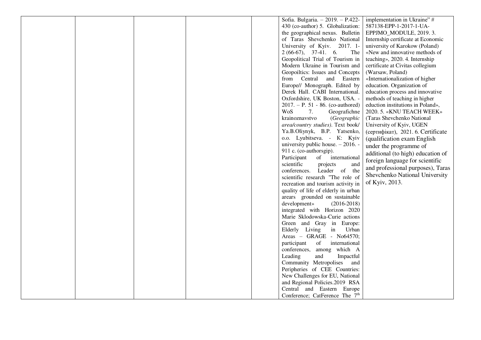|  |  | Sofia. Bulgaria. - 2019. - P.422-          | implementation in Ukraine" #       |
|--|--|--------------------------------------------|------------------------------------|
|  |  | 430 (co-author) 5. Globalization:          | 587138-EPP-1-2017-1-UA-            |
|  |  | the geographical nexus. Bulletin           | EPPJMO_MODULE, 2019. 3.            |
|  |  | of Taras Shevchenko National               | Internship certificate at Economic |
|  |  | University of Kyiv. 2017. 1-               | university of Karokow (Poland)     |
|  |  | $2(66-67), 37-41. 6.$<br>The               | «New and innovative methods of     |
|  |  | Geopolitical Trial of Tourism in           | teaching», 2020. 4. Internship     |
|  |  | Modern Ukraine in Tourism and              | certificate at Civitas collegium   |
|  |  | Geopoiltics: Issues and Concepts           | (Warsaw, Poland)                   |
|  |  | from Central and Eastern                   | «Internationalization of higher    |
|  |  | Europe// Monograph. Edited by              | education. Organization of         |
|  |  | Derek Hall. CABI International.            | education process and innovative   |
|  |  | Oxfordshire, UK Boston, USA. -             | methods of teaching in higher      |
|  |  | $2017. - P. 51 - 86.$ (co-authored)        | eduction institutions in Poland»,  |
|  |  | <b>WoS</b><br>7.<br>Geografichne           | 2020. 5. «KNU TEACH WEEK»          |
|  |  | krainoznavstvo<br>(Geographic              | (Taras Shevchenko National         |
|  |  | area/country studies). Text book/          | University of Kyiv, UGEN           |
|  |  | Ya.B.Oliynyk, B.P. Yatsenko,               | (сертифікат), 2021. 6. Certificate |
|  |  | o.o. Lyubitseva. - K: Kyiv                 | (qualification exam English        |
|  |  | university public house. - 2016. -         | under the programme of             |
|  |  | 911 c. (co-authorsgip).                    | additional (to high) education of  |
|  |  | Participant<br>of international            | foreign language for scientific    |
|  |  | scientific<br>projects<br>and              | and professional purposes), Taras  |
|  |  | conferences. Leader of the                 |                                    |
|  |  | scientific research "The role of           | Shevchenko National University     |
|  |  | recreation and tourism activity in         | of Kyiv, 2013.                     |
|  |  | quality of life of elderly in urban        |                                    |
|  |  | arears grounded on sustainable             |                                    |
|  |  | development»<br>$(2016 - 2018)$            |                                    |
|  |  | integrated with Horizon 2020               |                                    |
|  |  | Marie Sklodowska-Curie actions             |                                    |
|  |  | Green and Gray in Europe:                  |                                    |
|  |  | Elderly Living in<br>Urban                 |                                    |
|  |  | Areas - GRAGE - No64570;                   |                                    |
|  |  | participant of international               |                                    |
|  |  | conferences, among which A                 |                                    |
|  |  | Leading<br>and<br>Impactful                |                                    |
|  |  | Community Metropolises<br>and              |                                    |
|  |  | Peripheries of CEE Countries:              |                                    |
|  |  | New Challenges for EU, National            |                                    |
|  |  | and Regional Policies.2019 RSA             |                                    |
|  |  | Central and Eastern Europe                 |                                    |
|  |  | Conference; CatFerence The 7 <sup>th</sup> |                                    |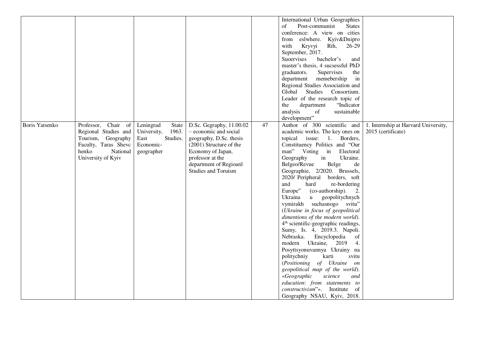|                |                        |                      |                          |    | International Urban Geographies                 |                                      |
|----------------|------------------------|----------------------|--------------------------|----|-------------------------------------------------|--------------------------------------|
|                |                        |                      |                          |    | Post-communist<br><b>States</b><br>οf           |                                      |
|                |                        |                      |                          |    | conference: A view on cities                    |                                      |
|                |                        |                      |                          |    | from eslwhere. Kyiv&Dnipro                      |                                      |
|                |                        |                      |                          |    | with<br>Kryvyi<br>Rih,<br>26-29                 |                                      |
|                |                        |                      |                          |    | September, 2017.                                |                                      |
|                |                        |                      |                          |    | Suoervises<br>bachelor's<br>and                 |                                      |
|                |                        |                      |                          |    | master's thesis, 4 sucsessful PhD               |                                      |
|                |                        |                      |                          |    | graduators.<br>Supervises<br>the                |                                      |
|                |                        |                      |                          |    | department<br>memebership<br>in                 |                                      |
|                |                        |                      |                          |    | Regional Studies Association and                |                                      |
|                |                        |                      |                          |    | Studies<br>Consortium.<br>Global                |                                      |
|                |                        |                      |                          |    | Leader of the research topic of                 |                                      |
|                |                        |                      |                          |    | the<br>department<br>"Indicator"                |                                      |
|                |                        |                      |                          |    | analysis<br>sustainable<br>of                   |                                      |
|                |                        |                      |                          |    | development"                                    |                                      |
| Boris Yatsenko | Chair of<br>Professor, | Leningrad<br>State   | D.Sc. Gegraphy, 11.00.02 | 47 | Author of 300 scientific and                    | 1. Internship at Harvard University, |
|                | Regional Studies and   | 1963.<br>University, | - economic and social    |    | academic works. The key ones on                 | 2015 (certificate)                   |
|                | Tourism, Geography     | Studies.<br>East     | geography, D.Sc. thesis  |    | topical issue: 1. Borders,                      |                                      |
|                | Faculty, Taras Sheve   | Economic-            | (2001) Structure of the  |    | Constituency Politics and "Our                  |                                      |
|                | National<br>henko      | geographer           | Economy of Japan,        |    | man" Voting in Electoral                        |                                      |
|                | University of Kyiv     |                      | professor at the         |    | in<br>Ukraine.<br>Geography                     |                                      |
|                |                        |                      | department of Regioanl   |    | Belgeo/Revue<br>Belge<br>de                     |                                      |
|                |                        |                      | Studies and Toruism      |    | Geographie, 2/2020. Brussels,                   |                                      |
|                |                        |                      |                          |    | 2020/ Peripheral borders, soft                  |                                      |
|                |                        |                      |                          |    | and<br>re-bordering<br>hard                     |                                      |
|                |                        |                      |                          |    | Europe"<br>(co-authorship).<br>2.               |                                      |
|                |                        |                      |                          |    | Ukraina<br>$\mathbf{u}$<br>geopolitychnych      |                                      |
|                |                        |                      |                          |    | vymirakh suchasnogo svitu"                      |                                      |
|                |                        |                      |                          |    | (Ukraine in focus of geopolitical               |                                      |
|                |                        |                      |                          |    | dimentions of the modern world).                |                                      |
|                |                        |                      |                          |    | 4 <sup>th</sup> scientific-geographic readings, |                                      |
|                |                        |                      |                          |    | Sumy, Is. 4, 2019.3. Napoli.                    |                                      |
|                |                        |                      |                          |    | Nebraska.<br>Encyclopedia<br>of                 |                                      |
|                |                        |                      |                          |    | modern Ukraine, 2019<br>4.                      |                                      |
|                |                        |                      |                          |    | Posyttsyonuvannya Ukrainy na                    |                                      |
|                |                        |                      |                          |    | karti<br>politychniy<br>svitu                   |                                      |
|                |                        |                      |                          |    | (Positioning of Ukraine<br><i>on</i>            |                                      |
|                |                        |                      |                          |    | geopolitical map of the world).                 |                                      |
|                |                        |                      |                          |    | «Geographic<br>science<br>and                   |                                      |
|                |                        |                      |                          |    | education: from statements to                   |                                      |
|                |                        |                      |                          |    | constructivism"». Institute of                  |                                      |
|                |                        |                      |                          |    | Geography NSAU, Kyiv, 2018.                     |                                      |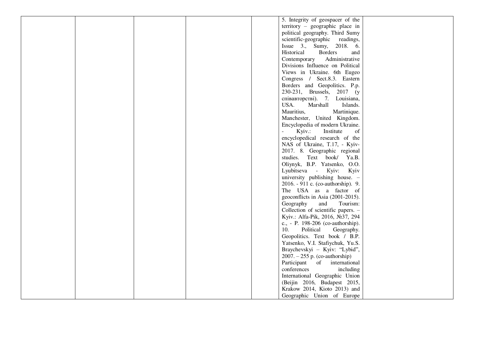|  |  | 5. Integrity of geospacer of the      |  |
|--|--|---------------------------------------|--|
|  |  | territory - geographic place in       |  |
|  |  | political geography. Third Sumy       |  |
|  |  | scientific-geographic readings,       |  |
|  |  | Issue 3., Sumy, 2018. 6.              |  |
|  |  | Historical<br><b>Borders</b><br>and   |  |
|  |  | Administrative<br>Contemporary        |  |
|  |  | Divisions Influence on Political      |  |
|  |  | Views in Ukraine. 6th Eugeo           |  |
|  |  | Congress / Sect.8.3. Eastern          |  |
|  |  | Borders and Geopolitics. P.p.         |  |
|  |  | 230-231, Brussels, 2017 (y            |  |
|  |  | співавторстві). 7. Louisiana,         |  |
|  |  | USA.<br>Marshall<br>Islands.          |  |
|  |  | Mauritius,<br>Martinique.             |  |
|  |  | Manchester, United Kingdom.           |  |
|  |  | Encyclopedia of modern Ukraine.       |  |
|  |  | Kyiv.:<br>Institute<br>$\omega$<br>of |  |
|  |  | encyclopedical research of the        |  |
|  |  | NAS of Ukraine, T.17, - Kyiv-         |  |
|  |  | 2017. 8. Geographic regional          |  |
|  |  | studies.<br>Text book/ Ya.B.          |  |
|  |  | Oliynyk, B.P. Yatsenko, O.O.          |  |
|  |  | Lyubitseva - Kyiv:<br>Kyiv            |  |
|  |  | university publishing house. -        |  |
|  |  | 2016. - 911 c. (co-authorship). 9.    |  |
|  |  | The USA as a factor of                |  |
|  |  | geoconflicts in Asia (2001-2015).     |  |
|  |  | Geography<br>and<br>Tourism:          |  |
|  |  | Collection of scientific papers. -    |  |
|  |  | Kyiv.: Alfa-Pik, 2016, №37, 294       |  |
|  |  | c., - P. 198-206 (co-authorship).     |  |
|  |  | Political<br>10.<br>Geography.        |  |
|  |  | Geopolitics. Text book / B.P.         |  |
|  |  | Yatsenko, V.I. Stafiychuk, Yu.S.      |  |
|  |  | Braychevskyi - Kyiv: "Lybid",         |  |
|  |  | $2007. - 255$ p. (co-authorship)      |  |
|  |  | Participant of international          |  |
|  |  | conferences<br>including              |  |
|  |  | International Geographic Union        |  |
|  |  | (Beijin 2016, Budapest 2015,          |  |
|  |  | Krakow 2014, Kioto 2013) and          |  |
|  |  | Geographic Union of Europe            |  |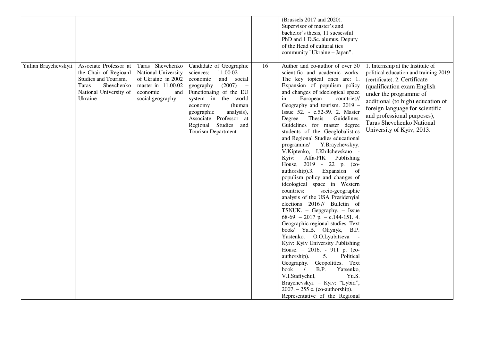|                      |                                                                                                                                     |                                                                                                                            |                                                                                                                                                                                                                                                                                                             |    | (Brussels 2017 and 2020).<br>Supervisor of master's and<br>bachelor's thesis, 11 sucsessful<br>PhD and 1 D.Sc. alumus. Deputy<br>of the Head of cultural ties<br>community "Ukraine - Japan".                                                                                                                                                                                                                                                                                                                                                                                                                                                                                                                                                                                                                                                                                                                                                                                                                                                                                                                                                                                                                                                                          |                                                                                                                                                                                                                                                                                                                                       |
|----------------------|-------------------------------------------------------------------------------------------------------------------------------------|----------------------------------------------------------------------------------------------------------------------------|-------------------------------------------------------------------------------------------------------------------------------------------------------------------------------------------------------------------------------------------------------------------------------------------------------------|----|------------------------------------------------------------------------------------------------------------------------------------------------------------------------------------------------------------------------------------------------------------------------------------------------------------------------------------------------------------------------------------------------------------------------------------------------------------------------------------------------------------------------------------------------------------------------------------------------------------------------------------------------------------------------------------------------------------------------------------------------------------------------------------------------------------------------------------------------------------------------------------------------------------------------------------------------------------------------------------------------------------------------------------------------------------------------------------------------------------------------------------------------------------------------------------------------------------------------------------------------------------------------|---------------------------------------------------------------------------------------------------------------------------------------------------------------------------------------------------------------------------------------------------------------------------------------------------------------------------------------|
| Yulian Braychevskyii | Associate Professor at<br>the Chair of Regioanl<br>Studies and Tourism,<br>Taras<br>Shevchenko<br>National University of<br>Ukraine | Taras Shevchenko<br>National University<br>of Ukraine in 2002<br>master in 11.00.02<br>economic<br>and<br>social geography | Candidate of Geographic<br>sciences;<br>$11.00.02 -$<br>and social<br>economic<br>geography<br>(2007)<br>$\overline{\phantom{0}}$<br>Functionaing of the EU<br>system in the world<br>economy<br>(human<br>analysis),<br>geographic<br>Associate Professor at<br>Regional Studies and<br>Tourism Department | 16 | Author and co-author of over 50<br>scientific and academic works.<br>The key topical ones are: 1.<br>Expansion of populism policy<br>and changes of ideological space<br>European<br>countries//<br>in<br>Geography and tourism. 2019 -<br>Issue 52. - c.52-59. 2. Master<br>Guidelines.<br>Thesis<br>Degree<br>Guidelines for master degree<br>students of the Geoglobalistics<br>and Regional Studies educational<br>programme/<br>Y.Braychevskyy,<br>V.Kiptenko, I.Khilchevskaro<br>Kyiv:<br>Alfa-PIK<br>Publishing<br>House, 2019 - 22 p. (co-<br>authorship).3.<br>Expansion<br><sub>of</sub><br>populism policy and changes of<br>ideological space in Western<br>countries:<br>socio-geographic<br>analysis of the USA Presidenyial<br>elections 2016 // Bulletin of<br>TSNUK. - Gepgraphy. - Issue<br>68-69. - 2017 p. - c.144-151. 4.<br>Geographic regional studies. Text<br>book/ Ya.B. Oliynyk, B.P.<br>Yastenko. O.O.Lyubitseva<br>Kyiv: Kyiv University Publishing<br>House. $-2016. -911$ p. (co-<br>authorship).<br>5.<br>Political<br>Geography. Geopolitics. Text<br>book<br>B.P.<br>$\frac{1}{2}$<br>Yatsenko,<br>V.I.Stafiychul,<br>Yu.S.<br>Braychevskyi. - Kyiv: "Lybid",<br>$2007. - 255$ c. (co-authorship).<br>Representative of the Regional | 1. Internship at the Institute of<br>political education and training 2019<br>(certificate). 2. Certificate<br>(qualification exam English<br>under the programme of<br>additional (to high) education of<br>foreign language for scientific<br>and professional purposes),<br>Taras Shevchenko National<br>University of Kyiv, 2013. |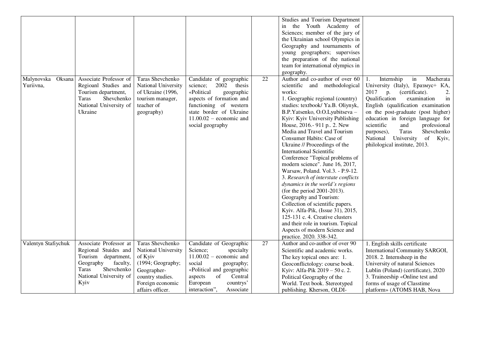|                                   |                                                                                                                                                         |                                                                                                                                |                                                                                                                                                                                                                  |    | Studies and Tourism Department<br>the Youth Academy of<br>in<br>Sciences; member of the jury of<br>the Ukrainian school Olympics in<br>Geography and tournaments of<br>young geographers; supervises<br>the preparation of the national<br>team for international olympics in<br>geography.                                                                                                                                                                                                                                                                                                                                                                                                                                                                                                                                                           |                                                                                                                                                                                                                                                                                                                                                                                                                                               |
|-----------------------------------|---------------------------------------------------------------------------------------------------------------------------------------------------------|--------------------------------------------------------------------------------------------------------------------------------|------------------------------------------------------------------------------------------------------------------------------------------------------------------------------------------------------------------|----|-------------------------------------------------------------------------------------------------------------------------------------------------------------------------------------------------------------------------------------------------------------------------------------------------------------------------------------------------------------------------------------------------------------------------------------------------------------------------------------------------------------------------------------------------------------------------------------------------------------------------------------------------------------------------------------------------------------------------------------------------------------------------------------------------------------------------------------------------------|-----------------------------------------------------------------------------------------------------------------------------------------------------------------------------------------------------------------------------------------------------------------------------------------------------------------------------------------------------------------------------------------------------------------------------------------------|
| Malynovska<br>Oksana<br>Yuriivna, | Associate Professor of<br>Regioanl Studies and<br>Tourism department,<br>Shevchenko<br>Taras<br>National University of<br>Ukraine                       | Taras Shevchenko<br>National University<br>of Ukraine (1996,<br>tourism manager,<br>teacher of<br>geography)                   | Candidate of geographic<br>2002 thesis<br>science;<br>«Political<br>geographic<br>aspects of formation and<br>functioning of western<br>state border of Ukraine<br>$11.00.02$ – economic and<br>social geography | 22 | Author and co-author of over 60<br>scientific and methodological<br>works:<br>1. Geographic regional (country)<br>studies: textbook/ Ya.B. Oliynyk,<br>B.P.Yatsenko, O.O.Lyubitseva -<br>Kyiv: Kyiv University Publishing<br>House, 2016.- 911 p., 2. New<br>Media and Travel and Tourism<br>Consumer Habits: Case of<br>Ukraine // Proceedings of the<br><b>International Scientific</b><br>Conference "Topical problems of<br>modern science". June 16, 2017,<br>Warsaw, Poland. Vol.3. - P.9-12.<br>3. Research of interstate conflicts<br>dynamics in the world's regions<br>(for the period 2001-2013).<br>Geography and Tourism:<br>Collection of scientific papers.<br>Kyiv. Alfa-Pik, (Issue 31), 2015,<br>125-131 c. 4. Creative clusters<br>and their role in tourism. Topical<br>Aspects of modern Science and<br>practice. 2020. 338-342. | Internship<br>$\operatorname{in}$<br>Macherata<br>1.<br>University (Italy), Epasmyc+ KA,<br>2017<br>(certificate).<br>p.<br>2.<br>Qualification<br>examination<br>in<br>English (qualification examination<br>on the post-graduate (post higher)<br>education in foreign language for<br>professional<br>scientific<br>and<br>Shevchenko<br><b>Taras</b><br>purposes),<br>National University<br>of<br>Kyiv,<br>philological institute, 2013. |
| Valentyn Stafiychuk               | Associate Professor at<br>Regional Stuides and<br>Tourism department,<br>faculty,<br>Geography<br>Shevchenko<br>Taras<br>National University of<br>Kyiv | Taras Shevchenko<br>National University<br>of Kyiv<br>(1994; Geography;<br>Geographer-<br>country studies.<br>Foreign economic | Candidate of Geographic<br>Science;<br>specialty<br>$11.00.02$ – economic and<br>social<br>geography;<br>«Political and geographic<br>aspects<br>of<br>Central<br>European<br>countrys'                          | 27 | Author and co-author of over 90<br>Scientific and academic works.<br>The key topical ones are: 1.<br>Geoconflictology: course book.<br>Kyiv: Alfa-Pik 2019 – 50 c. 2.<br>Political Geography of the<br>World. Text book. Stereotyped                                                                                                                                                                                                                                                                                                                                                                                                                                                                                                                                                                                                                  | 1. English skills certificate<br>International Community SARGOI,<br>2018. 2. Internsheep in the<br>University of natural Sciences<br>Lublin (Poland) (certificate), 2020<br>3. Traineeship «Online test and<br>forms of usage of Classtime                                                                                                                                                                                                    |
|                                   |                                                                                                                                                         | affairs officer.                                                                                                               | interaction",<br>Associate                                                                                                                                                                                       |    | publishing. Kherson, OLDI-                                                                                                                                                                                                                                                                                                                                                                                                                                                                                                                                                                                                                                                                                                                                                                                                                            | platform» (ATOMS HAB, Nova                                                                                                                                                                                                                                                                                                                                                                                                                    |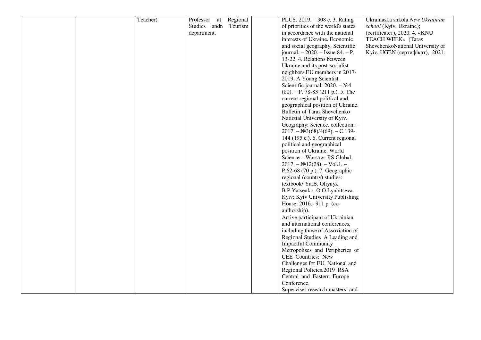|  | Teacher) | Professor at        | Regional | PLUS, 2019. - 308 c. 3. Rating          | Ukrainaska shkola New Ukrainian  |
|--|----------|---------------------|----------|-----------------------------------------|----------------------------------|
|  |          | Studies and Tourism |          | of priorities of the world's states     | school (Kyiv, Ukraine);          |
|  |          | department.         |          | in accordance with the national         | (certificater), 2020. 4. «KNU    |
|  |          |                     |          | interests of Ukraine. Economic          | TEACH WEEK» (Taras               |
|  |          |                     |          | and social geography. Scientific        | ShevchenkoNational University of |
|  |          |                     |          | journal. $-2020$ . $-$ Issue 84. $-$ P. | Kyiv, UGEN (сертифікат), 2021.   |
|  |          |                     |          | 13-22. 4. Relations between             |                                  |
|  |          |                     |          | Ukraine and its post-socialist          |                                  |
|  |          |                     |          | neighbors EU members in 2017-           |                                  |
|  |          |                     |          | 2019. A Young Scientist.                |                                  |
|  |          |                     |          | Scientific journal. $2020. - N24$       |                                  |
|  |          |                     |          | $(80)$ . – P. 78-83 (211 p.). 5. The    |                                  |
|  |          |                     |          | current regional political and          |                                  |
|  |          |                     |          | geographical position of Ukraine.       |                                  |
|  |          |                     |          | Bulletin of Taras Shevchenko            |                                  |
|  |          |                     |          | National University of Kyiv.            |                                  |
|  |          |                     |          | Geography: Science. collection. -       |                                  |
|  |          |                     |          | $2017. - N23(68)/4(69). - C.139-$       |                                  |
|  |          |                     |          | 144 (195 c.). 6. Current regional       |                                  |
|  |          |                     |          | political and geographical              |                                  |
|  |          |                     |          | position of Ukraine. World              |                                  |
|  |          |                     |          | Science - Warsaw: RS Global,            |                                  |
|  |          |                     |          | $2017. - N212(28). - Vol.1. -$          |                                  |
|  |          |                     |          | P.62-68 (70 p.). 7. Geographic          |                                  |
|  |          |                     |          | regional (country) studies:             |                                  |
|  |          |                     |          | textbook/ Ya.B. Oliynyk,                |                                  |
|  |          |                     |          | B.P.Yatsenko, O.O.Lyubitseva -          |                                  |
|  |          |                     |          | Kyiv: Kyiv University Publishing        |                                  |
|  |          |                     |          | House, 2016.- 911 p. (co-               |                                  |
|  |          |                     |          | authorship).                            |                                  |
|  |          |                     |          | Active participant of Ukrainian         |                                  |
|  |          |                     |          | and international conferences,          |                                  |
|  |          |                     |          | including those of Assoxiation of       |                                  |
|  |          |                     |          | Regional Studies A Leading and          |                                  |
|  |          |                     |          | <b>Impactful Community</b>              |                                  |
|  |          |                     |          | Metropolises and Peripheries of         |                                  |
|  |          |                     |          | CEE Countries: New                      |                                  |
|  |          |                     |          |                                         |                                  |
|  |          |                     |          | Challenges for EU, National and         |                                  |
|  |          |                     |          | Regional Policies.2019 RSA              |                                  |
|  |          |                     |          | Central and Eastern Europe              |                                  |
|  |          |                     |          | Conference.                             |                                  |
|  |          |                     |          | Supervises research masters' and        |                                  |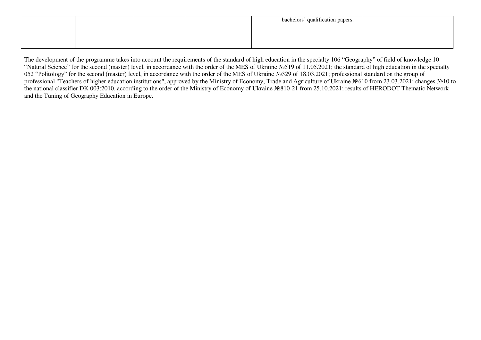|  |  | bachelors' qualification papers. |  |
|--|--|----------------------------------|--|
|  |  |                                  |  |
|  |  |                                  |  |
|  |  |                                  |  |

The development of the programme takes into account the requirements of the standard of high education in the specialty 106 "Geography" of field of knowledge 10 "Natural Science" for the second (master) level, in accordance with the order of the MES of Ukraine №519 of 11.05.2021; the standard of high education in the specialty 052 "Politology" for the second (master) level, in accordance with the order of the MES of Ukraine №329 of 18.03.2021; professional standard on the group of professional "Teachers of higher education institutions", approved by the Ministry of Economy, Trade and Agriculture of Ukraine №610 from 23.03.2021; changes №10 to the national classifier DK 003:2010, according to the order of the Ministry of Economy of Ukraine №810-21 from 25.10.2021; results of HERODOT Thematic Network and the Tuning of Geography Education in Europe**.**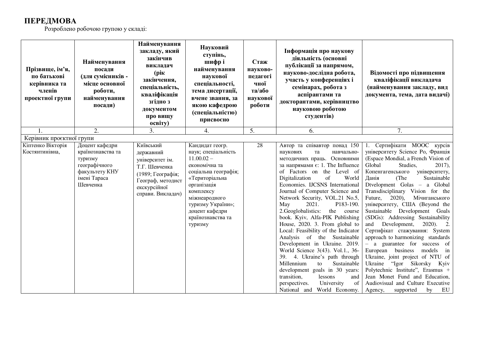## **ПЕРЕДМОВА**

Розроблено робочою групою у складі:

| Прізвище, ім'я,<br>по батькові<br>керівника та<br>членів<br>проектної групи | Найменування<br>посади<br>(для сумісників -<br>місце основної<br>роботи,<br>найменування<br>посади)           | Найменування<br>закладу, який<br>закінчив<br>викладач<br>(pik)<br>закінчення,<br>спеціальність,<br>кваліфікація<br>згідно з<br>документом<br>про вищу<br>освіту) | Науковий<br>ступінь,<br>шифрі<br>найменування<br>наукової<br>спеціальності,<br>тема дисертації,<br>вчене звання, за<br>якою кафедрою<br>(спеціальністю)<br>присвоєно                                                                  | Стаж<br>науково-<br>педагогі<br>чної<br>та/або<br>наукової<br>роботи | Інформація про наукову<br>діяльність (основні<br>публікації за напрямом,<br>науково-дослідна робота,<br>участь у конференціях і<br>семінарах, робота з<br>аспірантами та<br>докторантами, керівництво<br>науковою роботою<br>студентів)                                                                                                                                                                                                                                                                                                                                                                                                                                                                                                                                                                            | Відомості про підвищення<br>кваліфікації викладача<br>(найменування закладу, вид<br>документа, тема, дата видачі)                                                                                                                                                                                                                                                                                                                                                                                                                                                                                                                                                                                                                                                                                                                        |
|-----------------------------------------------------------------------------|---------------------------------------------------------------------------------------------------------------|------------------------------------------------------------------------------------------------------------------------------------------------------------------|---------------------------------------------------------------------------------------------------------------------------------------------------------------------------------------------------------------------------------------|----------------------------------------------------------------------|--------------------------------------------------------------------------------------------------------------------------------------------------------------------------------------------------------------------------------------------------------------------------------------------------------------------------------------------------------------------------------------------------------------------------------------------------------------------------------------------------------------------------------------------------------------------------------------------------------------------------------------------------------------------------------------------------------------------------------------------------------------------------------------------------------------------|------------------------------------------------------------------------------------------------------------------------------------------------------------------------------------------------------------------------------------------------------------------------------------------------------------------------------------------------------------------------------------------------------------------------------------------------------------------------------------------------------------------------------------------------------------------------------------------------------------------------------------------------------------------------------------------------------------------------------------------------------------------------------------------------------------------------------------------|
| 1.                                                                          | 2.                                                                                                            | 3.                                                                                                                                                               | 4.                                                                                                                                                                                                                                    | 5.                                                                   | 6.                                                                                                                                                                                                                                                                                                                                                                                                                                                                                                                                                                                                                                                                                                                                                                                                                 | 7.                                                                                                                                                                                                                                                                                                                                                                                                                                                                                                                                                                                                                                                                                                                                                                                                                                       |
| Керівник проєктної групи                                                    |                                                                                                               |                                                                                                                                                                  |                                                                                                                                                                                                                                       |                                                                      |                                                                                                                                                                                                                                                                                                                                                                                                                                                                                                                                                                                                                                                                                                                                                                                                                    |                                                                                                                                                                                                                                                                                                                                                                                                                                                                                                                                                                                                                                                                                                                                                                                                                                          |
| Кіптенко Вікторія<br>Костянтинівна,                                         | Доцент кафедри<br>країнознавства та<br>туризму<br>географічного<br>факультету КНУ<br>імені Тараса<br>Шевченка | Київський<br>державний<br>університет ім.<br>Т.Г. Шевченка<br>(1989; Географія;<br>Географ, методист<br>екскурсійної<br>справи. Викладач)                        | Кандидат геогр.<br>наук; спеціальність<br>$11.00.02 -$<br>економічна та<br>соціальна географія;<br>«Територіальна<br>організація<br>комплексу<br>міжнеародного<br>туризму України»;<br>доцент кафедри<br>країнознавства та<br>туризму | $\overline{28}$                                                      | Автор та співавтор понад 150<br>наукових<br>та<br>навчально-<br>методичних праць. Основними<br>за напрямами $\varepsilon$ : 1. The Influence<br>of Factors on the Level of<br>Digitalization<br>of<br>World<br>Economies. IJCSNS International<br>Journal of Computer Science and<br>Network Security, VOL.21 No.5,<br>2021.<br>P183-190.<br>May<br>2.Geoglobalistics:<br>the course<br>book. Kyiv, Alfa-PIK Publishing<br>House, 2020. 3. From global to<br>Local: Feasibility of the Indicator<br>Analysis of the Sustainable<br>Development in Ukraine. 2019.<br>World Science 3(43). Vol.1., 36-<br>4. Ukraine's path through<br>39.<br>Millennium<br>Sustainable<br>to<br>development goals in 30 years:<br>transition,<br>lessons<br>and<br>University<br>perspectives.<br>of<br>National and World Economy. | 1. Сертифікати МООС курсів<br>університету Science Po, Франція<br>(Espace Mondial, a French Vision of<br>Global<br>Studies,<br>$2017$ ,<br>Копенгагенського<br>університету,<br>Данія<br>Sustainable<br>(The<br>Dtvelopment Golas - a Global<br>Transdisciplinary Vision for the<br>$2020$ ,<br>Мічиганського<br>Future,<br>університету, США (Beyond the<br>Sustainable Development Goals<br>(SDGs): Addressing Sustainability<br>and<br>Development,<br>2020). 2.<br>Сертифікат стажування: System<br>approach to harmonizing standards<br>- a guarantee for success of<br>European business models<br>$\sin$<br>Ukraine, joint project of NTU of<br>Ukraine<br>"Igor Sikorsky<br>Kyiv<br>Polytechnic Institute", Erasmus +<br>Jean Monet Fund and Education,<br>Audiovisual and Culture Executive<br>Agency,<br>EU<br>supported<br>by |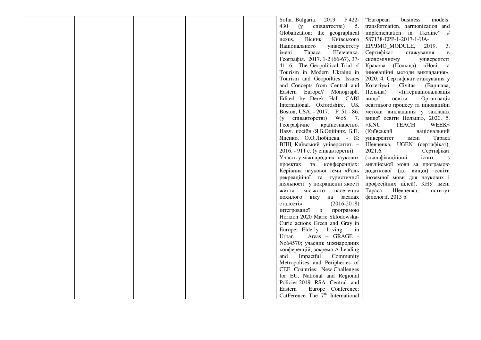|  |  | Sofia. Bulgaria. - 2019. - P.422-     | business<br>models:<br>"European                     |
|--|--|---------------------------------------|------------------------------------------------------|
|  |  | 430<br>(y<br>співавтостві)<br>5.      | transformation, harmonization and                    |
|  |  | Globalization: the geographical       | implementation in Ukraine" #                         |
|  |  | Вісник<br>Київського<br>nexus.        | 587138-EPP-1-2017-1-UA-                              |
|  |  | Національного<br>університету         | EPPJMO_MODULE,<br>2019.<br>3.                        |
|  |  | Шевченка.<br>імені<br>Tapaca          | Сертифікат<br>стажування<br>В                        |
|  |  | Географія. 2017. 1-2 (66-67), 37-     | економічному<br>університеті                         |
|  |  | 41. 6. The Geopolitical Trial of      | Кракова (Польща) «Нові та                            |
|  |  | Tourism in Modern Ukraine in          | інноваційні методи викладання»,                      |
|  |  | Tourism and Geopoiltics: Issues       | 2020. 4. Сертифікат стажування у                     |
|  |  | and Concepts from Central and         | Колегіумі<br>Civitas<br>(Варшава,                    |
|  |  | Eastern Europe// Monograph.           | Польща)<br>«Інтернаціоналізація                      |
|  |  | Edited by Derek Hall. CABI            | вищої<br>освіти.<br>Організація                      |
|  |  | International. Oxfordshire, UK        | освітнього процесу та інноваційні                    |
|  |  | Boston, USA. - 2017. - P. 51 - 86.    | методи викладання у закладах                         |
|  |  | (у співавторстві) WoS 7.              | вищої освіти Польщі», 2020. 5.                       |
|  |  | Географічне<br>країнознавство.        | «KNU<br><b>TEACH</b><br><b>WEEK</b> »                |
|  |  | Навч. посібн./Я.Б.Олійник, Б.П.       | (Київський<br>національний                           |
|  |  | Яценко, О.О.Любіцева. - К:            | університет<br>Tapaca<br>імені                       |
|  |  | ВПЦ Київський університет. -          | Шевченка, UGEN (сертифікат),                         |
|  |  | 2016. - 911 с. (у співавторстві).     | 2021.6.<br>Сертифікат                                |
|  |  | Участь у міжнародних наукових         | (кваліфікаційний<br>іспит<br>$\overline{\mathbf{3}}$ |
|  |  | проєктах та конференціях:             | англійської мови за програмою                        |
|  |  | Керівник наукової теми «Роль          | додаткової (до вищої) освіти                         |
|  |  | рекреаційної та туристичної           | іноземної мови для наукових і                        |
|  |  | діяльності у покращенні якості        | професійних цілей), КНУ імені                        |
|  |  | міського<br><b>RTTNЖ</b><br>населення | Шевченка,<br>Tapaca<br>інститут                      |
|  |  | похилого віку на засадах              | філології, 2013 р.                                   |
|  |  | $(2016-2018)$<br>сталості»            |                                                      |
|  |  | інтегрованої з<br>програмою           |                                                      |
|  |  | Horizon 2020 Marie Sklodowska-        |                                                      |
|  |  | Curie actions Green and Gray in       |                                                      |
|  |  | Europe: Elderly Living<br>in          |                                                      |
|  |  | Areas - GRAGE -<br>Urban              |                                                      |
|  |  | No64570; учасник міжнародних          |                                                      |
|  |  | конференцій, зокрема A Leading        |                                                      |
|  |  | Impactful<br>and<br>Community         |                                                      |
|  |  | Metropolises and Peripheries of       |                                                      |
|  |  | CEE Countries: New Challenges         |                                                      |
|  |  | for EU, National and Regional         |                                                      |
|  |  | Policies.2019 RSA Central and         |                                                      |
|  |  | Eastern<br>Europe Conference;         |                                                      |
|  |  | CatFerence The $7th$ International    |                                                      |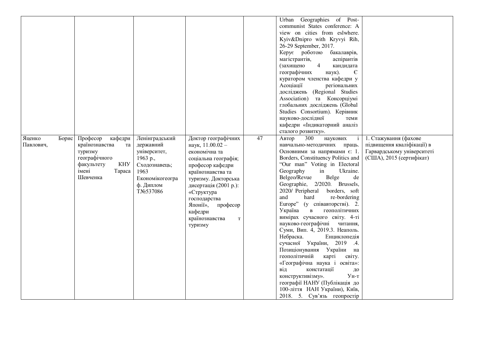|                              |                                                                                                                                    |                                                                                                                               |                                                                                                                                                                                                                                                                                        |    | Urban Geographies of Post-<br>communist States conference: A<br>view on cities from eslwhere.<br>Kyiv&Dnipro with Kryvyi Rih,<br>26-29 September, 2017.<br>Керує роботою<br>бакалаврів,<br>магістрантів,<br>аспірантів<br>(захищено<br>4<br>кандидата<br>географічних<br>наук).<br>$\epsilon$<br>куратором членства кафедри у<br>Асоціації<br>регіональних<br>досліджень (Regional Studies<br>Association) та Консорціумі<br>глобальних досліджень (Global<br>Studies Consortium). Керівник<br>науково-дослідної<br>теми                                                                                                                                                                                                                                                                                                                                                                                  |                                                                                                               |
|------------------------------|------------------------------------------------------------------------------------------------------------------------------------|-------------------------------------------------------------------------------------------------------------------------------|----------------------------------------------------------------------------------------------------------------------------------------------------------------------------------------------------------------------------------------------------------------------------------------|----|-----------------------------------------------------------------------------------------------------------------------------------------------------------------------------------------------------------------------------------------------------------------------------------------------------------------------------------------------------------------------------------------------------------------------------------------------------------------------------------------------------------------------------------------------------------------------------------------------------------------------------------------------------------------------------------------------------------------------------------------------------------------------------------------------------------------------------------------------------------------------------------------------------------|---------------------------------------------------------------------------------------------------------------|
| Яценко<br>Борис<br>Павлович, | Професор<br>кафедри<br>країнознавства<br>та<br>туризму<br>географічного<br><b>KHY</b><br>факультету<br>імені<br>Tapaca<br>Шевченка | Ленінградський<br>державний<br>університет,<br>1963 p.,<br>Сходознавець;<br>1963<br>Економікогеогра<br>ф. Диплом<br>TNo537086 | Доктор географічних<br>наук, 11.00.02 -<br>економічна та<br>соціальна географія;<br>професор кафедри<br>країнознавства та<br>туризму. Докторська<br>дисертація (2001 р.):<br>«Структура<br>господарства<br>Японії»,<br>професор<br>кафедри<br>країнознавства<br>$\mathbf T$<br>туризму | 47 | кафедри «Індикаторний аналіз<br>сталого розвитку».<br>300<br>наукових<br>Автор<br>навчально-методичних праць.<br>Основними за напрямами $\epsilon$ : 1.<br>Borders, Constituency Politics and<br>"Our man" Voting in Electoral<br>Ukraine.<br>Geography<br>in<br>Belge<br>Belgeo/Revue<br>de<br>Geographie, 2/2020. Brussels,<br>2020/ Peripheral borders, soft<br>and<br>hard<br>re-bordering<br>Europe" (у співавторстві). 2.<br>геополітичних<br>Україна<br>$\bf{B}$<br>вимірах сучасного світу. 4-ті<br>науково-географічні<br>читання,<br>Суми, Вип. 4, 2019.3. Неаполь.<br>Небраска.<br>Енциклопедія<br>сучасної України, 2019 .4.<br>Позиціонування України на<br>геополітичній<br>карті<br>світу.<br>«Географічна наука і освіта»:<br>констатації<br>від<br>ДО<br>$y_{H-T}$<br>конструктивізму».<br>географії НАНУ (Публікація до<br>100-ліття НАН України), Київ,<br>2018. 5. Сув'язь геопростір | 1. Стажування (фахове<br>підвищення кваліфікації) в<br>Гарвардському університеті<br>(США), 2015 (сертифікат) |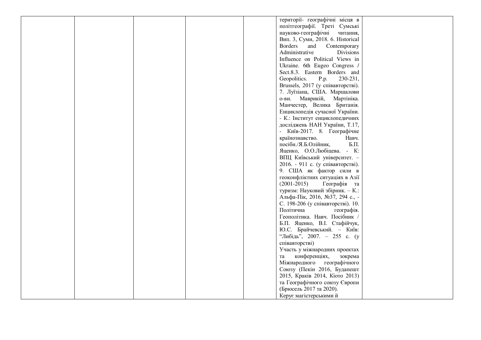|  | території- географічні місця в        |
|--|---------------------------------------|
|  | політгеографії. Треті Сумські         |
|  | науково-географічні<br>читання,       |
|  | Вип. 3, Суми, 2018. 6. Historical     |
|  | <b>Borders</b><br>and<br>Contemporary |
|  | Administrative<br><b>Divisions</b>    |
|  | Influence on Political Views in       |
|  | Ukraine. 6th Eugeo Congress /         |
|  | Sect.8.3. Eastern Borders and         |
|  | Geopolitics.<br>230-231,<br>P.p.      |
|  | Brussels, 2017 (у співавторстві).     |
|  | 7. Луїзіана, США. Маршалови           |
|  | о-ви. Маврикій,<br>Мартініка.         |
|  | Манчестер, Велика Британія.           |
|  | Енциклопедія сучасної України.        |
|  | - К.: Інститут енциклопедичних        |
|  |                                       |
|  | досліджень НАН України, Т.17,         |
|  | - Київ-2017. 8. Географічне           |
|  | країнознавство.<br>Навч.              |
|  | посібн./Я.Б.Олійник,<br>Б.П.          |
|  | Яценко, О.О.Любіцева. - К:            |
|  | ВПЦ Київський університет. -          |
|  | 2016. - 911 с. (у співавторстві).     |
|  | 9. США як фактор сили в               |
|  | геоконфліктних ситуаціях в Азії       |
|  | $(2001-2015)$<br>Географія та         |
|  | туризм: Науковий збірник. - К.:       |
|  | Альфа-Пік, 2016, №37, 294 с., -       |
|  | С. 198-206 (у співавторстві). 10.     |
|  | Політична<br>географія.               |
|  | Геополітика. Навч. Посібник /         |
|  | Б.П. Яценко, В.І. Стафійчук,          |
|  | Ю.С. Брайчевський. - Київ:            |
|  | "Либідь", 2007. - 255 с. (у           |
|  | співавторстві)                        |
|  | Участь у міжнародних проектах         |
|  | конференціях,<br>зокрема<br>та        |
|  | Міжнародного географічного            |
|  | Союзу (Пекін 2016, Будапешт           |
|  | 2015, Краків 2014, Кіото 2013)        |
|  | та Географічного союзу Європи         |
|  | (Брюсель 2017 та 2020).               |
|  |                                       |
|  | Керує магістерськими й                |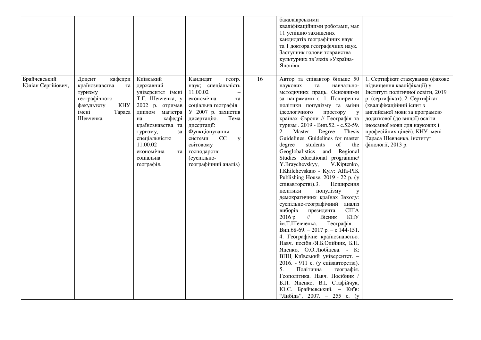|                                   |                                                                                                                                  |                                                                                                                                                                                                                                           |                                                                                                                                                                                                                                                                                    |    | бакалаврськими<br>кваліфікаційними роботами, має<br>11 успішно захищених<br>кандидатів географічних наук<br>та 1 доктора географічних наук.<br>Заступник голови товраиства<br>культурних зв'язків «Україна-<br>Японія».                                                                                                                                                                                                                                                                                                                                                                                                                                                                                                                                                                                                                                                                                                                                                                                                                                                                                                                                                                             |                                                                                                                                                                                                                                                                                                                                                         |
|-----------------------------------|----------------------------------------------------------------------------------------------------------------------------------|-------------------------------------------------------------------------------------------------------------------------------------------------------------------------------------------------------------------------------------------|------------------------------------------------------------------------------------------------------------------------------------------------------------------------------------------------------------------------------------------------------------------------------------|----|-----------------------------------------------------------------------------------------------------------------------------------------------------------------------------------------------------------------------------------------------------------------------------------------------------------------------------------------------------------------------------------------------------------------------------------------------------------------------------------------------------------------------------------------------------------------------------------------------------------------------------------------------------------------------------------------------------------------------------------------------------------------------------------------------------------------------------------------------------------------------------------------------------------------------------------------------------------------------------------------------------------------------------------------------------------------------------------------------------------------------------------------------------------------------------------------------------|---------------------------------------------------------------------------------------------------------------------------------------------------------------------------------------------------------------------------------------------------------------------------------------------------------------------------------------------------------|
| Брайчевський<br>Юліан Сергійович, | Доцент<br>кафедри<br>країнознавства<br>та<br>туризму<br>географічного<br>факультету<br><b>KHY</b><br>імені<br>Tapaca<br>Шевченка | Київський<br>державний<br>університет імені<br>Т.Г. Шевченка, у<br>2002 р. отримав<br>диплом магістра<br>кафедрі<br>на<br>країнознавства та<br>туризму,<br>за<br>спеціальністю<br>11.00.02<br>економічна<br>та<br>соціальна<br>географія. | Кандидат<br>геогр.<br>наук; спеціальність<br>11.00.02<br>економічна<br>та<br>соціальна географія<br>У 2007 р. захистив<br>дисертацію.<br>Тема<br>дисертації:<br>Функціонування<br>системи<br>$\epsilon$ c<br>y<br>світовому<br>господарстві<br>(суспільно-<br>географічний аналіз) | 16 | Автор та співавтор більше 50<br>наукових<br>навчально-<br>та<br>методичних праць. Основними<br>за напрямами є: 1. Поширення<br>політики популізму та зміни<br>ідеологічного<br>простору у<br>країнах Європи // Географія та<br>туризм. 2019 - Вип.52. - с.52-59.<br>Master Degree Thesis<br>2.<br>Guidelines. Guidelines for master<br>students<br>degree<br>of<br>the<br>Geoglobalistics and Regional<br>Studies educational programme/<br>Y.Braychevskyy,<br>V.Kiptenko,<br>I.Khilchevskaro - Kyiv: Alfa-PIK<br>Publishing House, 2019 - 22 p. (y<br>співавторстві).3.<br>Поширення<br>політики<br>популізму<br>y<br>демократичних країнах Заходу:<br>суспільно-географічний<br>аналіз<br>виборів<br>президента<br><b>CIIIA</b><br>$\mathcal{U}$<br>Вісник<br><b>KHY</b><br>2016 p.<br>ім. Т.Шевченка. - Географія. -<br>Вип.68-69. - 2017 р. - с.144-151.<br>4. Географічне країнознавство.<br>Навч. посібн./Я.Б.Олійник, Б.П.<br>Яценко, О.О.Любіцева. - К:<br>ВПЦ Київський університет. -<br>2016. - 911 с. (у співавторстві).<br>5.<br>Політична<br>географія.<br>Геополітика. Навч. Посібник /<br>Б.П. Яценко, В.І. Стафійчук,<br>Ю.С. Брайчевський. - Київ:<br>"Либідь", 2007. - 255 с. (у | 1. Сертифікат стажування (фахове<br>підвищення кваліфікації) у<br>Інституті політичної освіти, 2019<br>р. (сертифікат). 2. Сертифікат<br>(кваліфікаційний іспит з<br>англійської мови за програмою<br>додаткової (до вищої) освіти<br>іноземної мови для наукових і<br>професійних цілей), КНУ імені<br>Тараса Шевченка, інститут<br>філології, 2013 р. |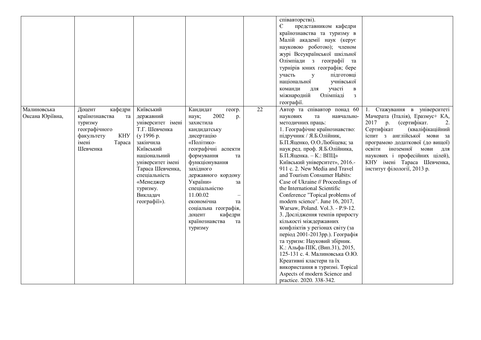|                 |                          |                   |                      |    | співавторстві).                          |                                 |
|-----------------|--------------------------|-------------------|----------------------|----|------------------------------------------|---------------------------------|
|                 |                          |                   |                      |    | $\epsilon$<br>представником кафедри      |                                 |
|                 |                          |                   |                      |    | країнознавства та туризму в              |                                 |
|                 |                          |                   |                      |    | Малій академії наук (керує               |                                 |
|                 |                          |                   |                      |    | науковою роботою); членом                |                                 |
|                 |                          |                   |                      |    | журі Всеукраїнської шкільної             |                                 |
|                 |                          |                   |                      |    | Олімпіади з географії та                 |                                 |
|                 |                          |                   |                      |    | турнірів юних географів; бере            |                                 |
|                 |                          |                   |                      |    | підготовці                               |                                 |
|                 |                          |                   |                      |    | участь<br>y                              |                                 |
|                 |                          |                   |                      |    | національної<br>учнівської               |                                 |
|                 |                          |                   |                      |    | участі<br>команди<br>ДЛЯ<br>$\, {\bf B}$ |                                 |
|                 |                          |                   |                      |    | Олімпіаді<br>міжнародній<br>3            |                                 |
|                 |                          |                   |                      |    | географії.                               |                                 |
| Малиновська     | Доцент<br>кафедри        | Київський         | Кандидат<br>геогр.   | 22 | Автор та співавтор понад 60              | 1. Стажування в університеті    |
| Оксана Юріївна, | країнознавства<br>та     | державний         | 2002<br>наук;<br>p.  |    | наукових<br>та<br>навчально-             | Мачерата (Італія), Еразмус+ КА, |
|                 | туризму                  | університет імені | захистила            |    | методичних праць:                        | 2017 р. (сертифікат.<br>2.      |
|                 | географічного            | Т.Г. Шевченка     | кандидатську         |    | 1. Географічне країнознавство:           | (кваліфікаційний<br>Сертифікат  |
|                 | факультету<br><b>KHY</b> | (y 1996 p.        | дисертацію           |    | підручник / Я.Б.Олійник,                 | іспит з англійської мови за     |
|                 | імені<br>Tapaca          | закінчила         | «Політико-           |    | Б.П.Яценко, О.О.Любіцева; за             | програмою додаткової (до вищої) |
|                 | Шевченка                 | Київський         | географічні аспекти  |    | наук.ред. проф. Я.Б.Олійника,            | освіти<br>іноземної мови для    |
|                 |                          | національний      | формування<br>та     |    | Б.П.Яценка. - К.: ВПЦ»                   | наукових і професійних цілей),  |
|                 |                          | університет імені | функціонування       |    | Київський університет», 2016.-           | КНУ імені Тараса Шевченка,      |
|                 |                          | Тараса Шевченка,  | західного            |    | 911 c. 2. New Media and Travel           | інститут філології, 2013 р.     |
|                 |                          | спеціальність     | державного кордону   |    | and Tourism Consumer Habits:             |                                 |
|                 |                          | «Менеджер         | України»<br>за       |    | Case of Ukraine // Proceedings of        |                                 |
|                 |                          | туризму.          | спеціальністю        |    | the International Scientific             |                                 |
|                 |                          | Викладач          | 11.00.02             |    | Conference "Topical problems of          |                                 |
|                 |                          | reorpacii»).      | економічна<br>та     |    | modern science". June 16, 2017,          |                                 |
|                 |                          |                   | соціальна географія, |    | Warsaw, Poland. Vol.3. - P.9-12.         |                                 |
|                 |                          |                   | доцент<br>кафедри    |    | 3. Дослідження темпів приросту           |                                 |
|                 |                          |                   | країнознавства<br>та |    | кількості міждержавних                   |                                 |
|                 |                          |                   | туризму              |    | конфліктів у регіонах світу (за          |                                 |
|                 |                          |                   |                      |    | період 2001-2013рр.). Географія          |                                 |
|                 |                          |                   |                      |    | та туризм: Науковий збірник.             |                                 |
|                 |                          |                   |                      |    | К.: Альфа-ПІК, (Вип.31), 2015,           |                                 |
|                 |                          |                   |                      |    | 125-131 с. 4. Малиновська О.Ю.           |                                 |
|                 |                          |                   |                      |    | Креативні кластери та їх                 |                                 |
|                 |                          |                   |                      |    | використання в туризмі. Topical          |                                 |
|                 |                          |                   |                      |    | Aspects of modern Science and            |                                 |
|                 |                          |                   |                      |    | practice. 2020. 338-342.                 |                                 |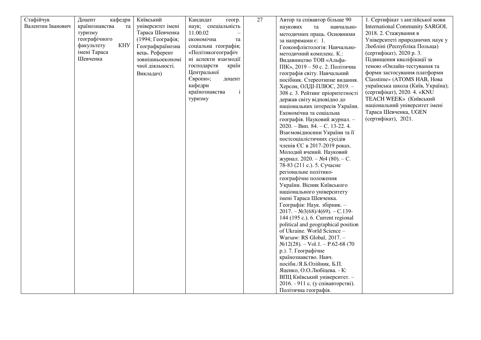| Стафійчук         | кафедри<br>Доцент        | Київський         | Кандидат<br>геогр.             | 27 | Автор та співавтор більше 90        | 1. Сертифікат з англійської мови  |
|-------------------|--------------------------|-------------------|--------------------------------|----|-------------------------------------|-----------------------------------|
| Валентин Іванович | країнознавства<br>та     | університет імені | наук; спеціальність            |    | наукових<br>та<br>навчально-        | International Community SARGOI,   |
|                   | туризму                  | Тараса Шевченка   | 11.00.02                       |    | методичних праць. Основними         | 2018. 2. Стажування в             |
|                   | географічного            | (1994; Географія; | економічна<br>та               |    | за напрямами є: 1.                  | Університеті природничих наук у   |
|                   | <b>KHY</b><br>факультету | Географкраїнозна  | соціальна географія;           |    | Геоконфліктологія: Навчально-       | Любліні (Республіка Польща)       |
|                   | імені Тараса             | вець. Референт    | «Політикогеографіч             |    | методичний комплекс. К.:            | (сертифікат), 2020 р. 3.          |
|                   | Шевченка                 | зовнішньоекономі  | ні аспекти взаємодії           |    | Видавництво ТОВ «Альфа-             | Підвищення кваліфікації за        |
|                   |                          | чної діяльності.  | господарств<br>країн           |    | ПІК», 2019 - 50 с. 2. Політична     | темою «Онлайн-тестування та       |
|                   |                          | Викладач)         | Центральної                    |    | географія світу. Навчальний         | форми застосування платформи      |
|                   |                          |                   | Європи»;<br>доцент             |    | посібник. Стереотипне видання.      | Classtime» (ATOMS HAB, Hoba       |
|                   |                          |                   | кафедри                        |    | Херсон, ОЛДІ-ПЛЮС, 2019. -          | українська школа (Київ, Україна); |
|                   |                          |                   | країнознавства<br>$\mathbf{i}$ |    | 308 с. 3. Рейтинг пріоритетності    | (сертифікат), 2020. 4. «KNU       |
|                   |                          |                   | туризму                        |    | держав світу відповідно до          | <b>TEACH WEEK»</b> (Київський     |
|                   |                          |                   |                                |    | національних інтересів України.     | національний університет імені    |
|                   |                          |                   |                                |    | Економічна та соціальна             | Тараса Шевченка, UGEN             |
|                   |                          |                   |                                |    | географія. Науковий журнал. -       | (сертифікат), 2021.               |
|                   |                          |                   |                                |    | $2020. - B$ ип. 84. – С. 13-22. 4.  |                                   |
|                   |                          |                   |                                |    | Взаємовідносини України та її       |                                   |
|                   |                          |                   |                                |    | постсоціалістичних сусідів          |                                   |
|                   |                          |                   |                                |    | членів ЄС в 2017-2019 роках.        |                                   |
|                   |                          |                   |                                |    | Молодий вчений. Науковий            |                                   |
|                   |                          |                   |                                |    | журнал. $2020. - N24$ (80). - С.    |                                   |
|                   |                          |                   |                                |    | 78-83 (211 с.). 5. Сучасне          |                                   |
|                   |                          |                   |                                |    | регіональне політико-               |                                   |
|                   |                          |                   |                                |    | географічне положення               |                                   |
|                   |                          |                   |                                |    | України. Вісник Київського          |                                   |
|                   |                          |                   |                                |    | національного університету          |                                   |
|                   |                          |                   |                                |    | імені Тараса Шевченка.              |                                   |
|                   |                          |                   |                                |    | Географія: Наук. збірник. -         |                                   |
|                   |                          |                   |                                |    | $2017. - N23(68)/4(69). - C.139-$   |                                   |
|                   |                          |                   |                                |    | 144 (195 c.). 6. Current regional   |                                   |
|                   |                          |                   |                                |    | political and geographical position |                                   |
|                   |                          |                   |                                |    | of Ukraine. World Science -         |                                   |
|                   |                          |                   |                                |    | Warsaw: RS Global, 2017. -          |                                   |
|                   |                          |                   |                                |    | $N212(28)$ . – Vol.1. – P.62-68 (70 |                                   |
|                   |                          |                   |                                |    | р.). 7. Географічне                 |                                   |
|                   |                          |                   |                                |    | країнознавство. Навч.               |                                   |
|                   |                          |                   |                                |    | посібн./Я.Б.Олійник, Б.П.           |                                   |
|                   |                          |                   |                                |    | Яценко, О.О.Любіцева. - К:          |                                   |
|                   |                          |                   |                                |    | ВПЦ Київський університет. -        |                                   |
|                   |                          |                   |                                |    | 2016. - 911 с. (у співавторстві).   |                                   |
|                   |                          |                   |                                |    | Політична географія.                |                                   |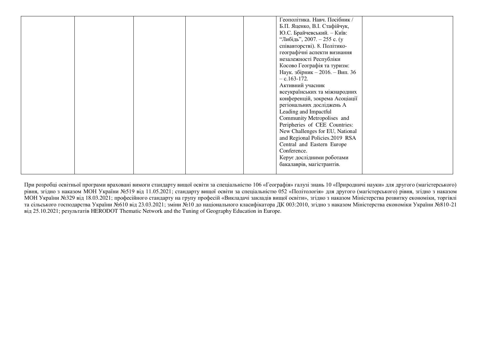|  | Геополітика. Навч. Посібник /   |
|--|---------------------------------|
|  | Б.П. Яценко, В.І. Стафійчук,    |
|  | Ю.С. Брайчевський. - Київ:      |
|  | "Либідь", 2007. – 255 с. (у     |
|  | співавторстві). 8. Політико-    |
|  | географічні аспекти визнання    |
|  |                                 |
|  | незалежності Республіки         |
|  | Косово Географія та туризм:     |
|  | Наук. збірник - 2016. - Вип. 36 |
|  | $-$ c.163-172.                  |
|  | Активний учасник                |
|  | всеукраїнських та міжнародних   |
|  | конференцій, зокрема Асоціації  |
|  | регіональних досліджень А       |
|  | Leading and Impactful           |
|  | Community Metropolises and      |
|  | Peripheries of CEE Countries:   |
|  | New Challenges for EU, National |
|  | and Regional Policies.2019 RSA  |
|  |                                 |
|  | Central and Eastern Europe      |
|  | Conference.                     |
|  | Керує дослідними роботами       |
|  | бакалаврів, магістрантів.       |
|  |                                 |

При розробці освітньої програми враховані вимоги стандарту вищої освіти за спеціальністю 106 «Географія» галузі знань 10 «Природничі науки» для другого (магістерського) рівня, згідно з наказом МОН України №519 від 11.05.2021; стандарту вищої освіти за спеціальністю 052 «Політологія» для другого (магістерського) рівня, згідно з наказом МОН України №329 від 18.03.2021; професійного стандарту на групу професій «Викладачі закладів вищої освіти», згідно з наказом Міністерства розвитку економіки, торгівлі та сільського господарства України №610 від 23.03.2021; зміни №10 до національного класифікатора ДК 003:2010, згідно з наказом Міністерства економіки України №810-21 від 25.10.2021; результатів HERODOT Thematic Network and the Tuning of Geography Education in Europe.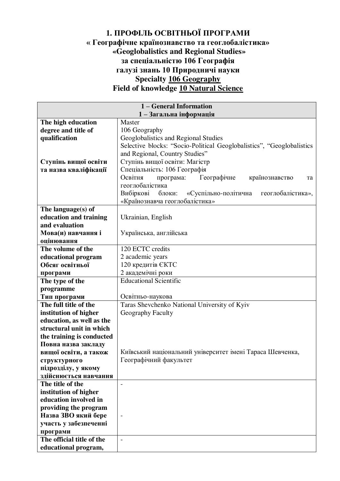#### **1. ПРОФІЛЬ ОСВІТНЬОЇ ПРОГРАМИ « Географічне країнознавство та геоглобалістика» «Geoglobalistics and Regional Studies» за спеціальністю 106 Географія галузі знань 10 Природничі науки Specialty 106 Geography Field of knowledge 10 Natural Science**

| 1 – General Information                        |                                                                        |  |  |  |
|------------------------------------------------|------------------------------------------------------------------------|--|--|--|
|                                                | 1-Загальна інформація                                                  |  |  |  |
| The high education                             | Master                                                                 |  |  |  |
| degree and title of                            | 106 Geography                                                          |  |  |  |
| qualification                                  | Geoglobalistics and Regional Studies                                   |  |  |  |
|                                                | Selective blocks: "Socio-Political Geoglobalistics", "Geoglobalistics" |  |  |  |
|                                                | and Regional, Country Studies"                                         |  |  |  |
| Ступінь вищої освіти                           | Ступінь вищої освіти: Магістр                                          |  |  |  |
| та назва кваліфікації                          | Спеціальність: 106 Географія                                           |  |  |  |
|                                                | Освітня<br>Географічне<br>програма:<br>країнознавство<br>та            |  |  |  |
|                                                | геоглобалістика                                                        |  |  |  |
|                                                | Вибіркові блоки:<br>«Суспільно-політична<br>геоглобалістика»,          |  |  |  |
|                                                | «Країнознавча геоглобалістика»                                         |  |  |  |
| The language $(s)$ of                          |                                                                        |  |  |  |
| education and training                         | Ukrainian, English                                                     |  |  |  |
| and evaluation                                 |                                                                        |  |  |  |
| Мова(и) навчання і                             | Українська, англійська                                                 |  |  |  |
| оцінювання                                     |                                                                        |  |  |  |
| The volume of the                              | 120 ECTC credits                                                       |  |  |  |
| educational program                            | 2 academic years                                                       |  |  |  |
| Обсяг освітньої                                | 120 кредитів ЄКТС                                                      |  |  |  |
| програми                                       | 2 академічні роки                                                      |  |  |  |
| The type of the                                | <b>Educational Scientific</b>                                          |  |  |  |
| programme                                      |                                                                        |  |  |  |
| Тип програми                                   | Освітньо-наукова                                                       |  |  |  |
| The full title of the                          | Taras Shevchenko National University of Kyiv                           |  |  |  |
| institution of higher                          | Geography Faculty                                                      |  |  |  |
| education, as well as the                      |                                                                        |  |  |  |
| structural unit in which                       |                                                                        |  |  |  |
| the training is conducted                      |                                                                        |  |  |  |
| Повна назва закладу                            |                                                                        |  |  |  |
| вищої освіти, а також                          | Київський національний університет імені Тараса Шевченка,              |  |  |  |
| структурного                                   | Географічний факультет                                                 |  |  |  |
| підрозділу, у якому                            |                                                                        |  |  |  |
| здійснюється навчання<br>The title of the      |                                                                        |  |  |  |
|                                                | $\overline{\phantom{a}}$                                               |  |  |  |
| institution of higher<br>education involved in |                                                                        |  |  |  |
|                                                |                                                                        |  |  |  |
| providing the program                          |                                                                        |  |  |  |
| Назва ЗВО який бере<br>участь у забезпеченні   | $\overline{\phantom{a}}$                                               |  |  |  |
| програми                                       |                                                                        |  |  |  |
| The official title of the                      | $\overline{a}$                                                         |  |  |  |
| educational program,                           |                                                                        |  |  |  |
|                                                |                                                                        |  |  |  |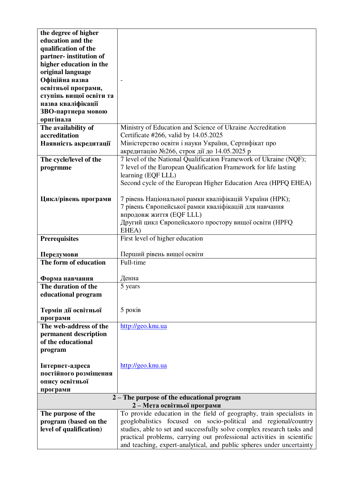| the degree of higher    |                                                                        |
|-------------------------|------------------------------------------------------------------------|
| education and the       |                                                                        |
| qualification of the    |                                                                        |
| partner-institution of  |                                                                        |
| higher education in the |                                                                        |
| original language       |                                                                        |
| Офіційна назва          |                                                                        |
| освітньої програми,     |                                                                        |
| ступінь вищої освіти та |                                                                        |
| назва кваліфікації      |                                                                        |
| ЗВО-партнера мовою      |                                                                        |
| оригінала               |                                                                        |
| The availability of     | Ministry of Education and Science of Ukraine Accreditation             |
| accreditation           | Certificate #266, valid by 14.05.2025                                  |
| Наявність акредитації   | Міністерство освіти і науки України, Сертифікат про                    |
|                         | акредитацію №266, строк дії до 14.05.2025 р                            |
| The cycle/level of the  | 7 level of the National Qualification Framework of Ukraine (NQF);      |
| progrmme                | 7 level of the European Qualification Framework for life lasting       |
|                         | learning (EQF LLL)                                                     |
|                         | Second cycle of the European Higher Education Area (HPFQ EHEA)         |
|                         |                                                                        |
| Цикл/рівень програми    | 7 рівень Національної рамки кваліфікацій України (НРК);                |
|                         | 7 рівень Європейської рамки кваліфікацій для навчання                  |
|                         | впродовж життя (EQF LLL)                                               |
|                         | Другий цикл Європейського простору вищої освіти (HPFQ                  |
|                         | EHEA)                                                                  |
| <b>Prerequisites</b>    | First level of higher education                                        |
|                         |                                                                        |
| Передумови              | Перший рівень вищої освіти                                             |
| The form of education   | Full-time                                                              |
|                         |                                                                        |
| Форма навчання          | Денна                                                                  |
| The duration of the     | 5 years                                                                |
| educational program     |                                                                        |
|                         |                                                                        |
| Термін дії освітньої    | 5 років                                                                |
| програми                |                                                                        |
| The web-address of the  | http://geo.knu.ua                                                      |
| permanent description   |                                                                        |
| of the educational      |                                                                        |
| program                 |                                                                        |
|                         |                                                                        |
| Інтернет-адреса         | http://geo.knu.ua                                                      |
| постійного розміщення   |                                                                        |
| опису освітньої         |                                                                        |
| програми                |                                                                        |
|                         | 2 – The purpose of the educational program                             |
|                         | 2-Мета освітньої програми                                              |
| The purpose of the      | To provide education in the field of geography, train specialists in   |
| program (based on the   | geoglobalistics focused on socio-political and regional/country        |
| level of qualification) | studies, able to set and successfully solve complex research tasks and |
|                         | practical problems, carrying out professional activities in scientific |
|                         | and teaching, expert-analytical, and public spheres under uncertainty  |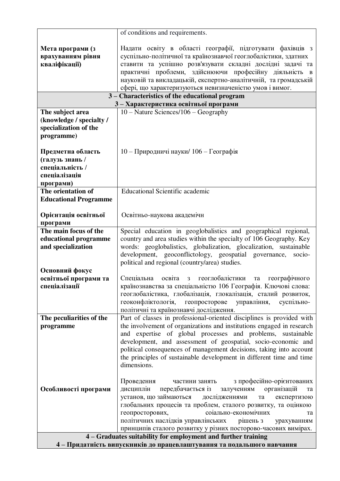|                                                                                                                                         | of conditions and requirements.                                                                                                                                                                                                                                                                                            |  |  |  |
|-----------------------------------------------------------------------------------------------------------------------------------------|----------------------------------------------------------------------------------------------------------------------------------------------------------------------------------------------------------------------------------------------------------------------------------------------------------------------------|--|--|--|
| Мета програми (з<br>врахуванням рівня<br>кваліфікації)                                                                                  | Надати освіту в області географії, підготувати фахівців з<br>суспільно-політичної та країнознавчої геоглобалістики, здатних<br>ставити та успішно розв'язувати складні дослідні задачі та<br>практичні проблеми, здійснюючи професійну діяльність в<br>науковій та викладацькій, експертно-аналітичній, та громадській     |  |  |  |
|                                                                                                                                         | сфері, що характеризуються невизначеністю умов і вимог.<br>3 - Characteristics of the educational program                                                                                                                                                                                                                  |  |  |  |
|                                                                                                                                         | 3 - Характеристика освітньої програми                                                                                                                                                                                                                                                                                      |  |  |  |
| The subject area                                                                                                                        | $10 - Nature$ Sciences/106 - Geography                                                                                                                                                                                                                                                                                     |  |  |  |
| (knowledge / specialty /<br>specialization of the<br>programme)                                                                         |                                                                                                                                                                                                                                                                                                                            |  |  |  |
| Предметна область<br>(галузь знань /                                                                                                    | 10 - Природничі науки/106 - Географія                                                                                                                                                                                                                                                                                      |  |  |  |
| спеціальність /                                                                                                                         |                                                                                                                                                                                                                                                                                                                            |  |  |  |
| спеціалізація                                                                                                                           |                                                                                                                                                                                                                                                                                                                            |  |  |  |
| програми)<br>The orientation of                                                                                                         | <b>Educational Scientific academic</b>                                                                                                                                                                                                                                                                                     |  |  |  |
| <b>Educational Programme</b>                                                                                                            |                                                                                                                                                                                                                                                                                                                            |  |  |  |
| Орієнтація освітньої<br>програми                                                                                                        | Освітньо-наукова академічн                                                                                                                                                                                                                                                                                                 |  |  |  |
| The main focus of the                                                                                                                   | Special education in geoglobalistics and geographical regional,                                                                                                                                                                                                                                                            |  |  |  |
| educational programme                                                                                                                   | country and area studies within the specialty of 106 Geography. Key                                                                                                                                                                                                                                                        |  |  |  |
| and specialization                                                                                                                      | words: geoglobalistics, globalization, glocalization, sustainable<br>development, geoconflictology, geospatial governance,<br>socio-<br>political and regional (country/area) studies.                                                                                                                                     |  |  |  |
| Основний фокус                                                                                                                          |                                                                                                                                                                                                                                                                                                                            |  |  |  |
| освітньої програми та<br>спеціалізації                                                                                                  | Спеціальна освіта<br>геоглобалістики<br>географічного<br>3 <sup>7</sup><br>та<br>країнознавства за спеціальністю 106 Географія. Ключові слова:<br>геоглобалістика, глобалізація, глокалізація, сталий розвиток,<br>геоконфліктологія, геопросторове<br>управління,<br>суспільно-<br>політичні та країнознавчі дослідження. |  |  |  |
| The peculiarities of the                                                                                                                | Part of classes in professional-oriented disciplines is provided with                                                                                                                                                                                                                                                      |  |  |  |
| programme                                                                                                                               | the involvement of organizations and institutions engaged in research                                                                                                                                                                                                                                                      |  |  |  |
|                                                                                                                                         | and expertise of global processes and problems, sustainable<br>development, and assessment of geospatial, socio-economic and                                                                                                                                                                                               |  |  |  |
|                                                                                                                                         | political consequences of management decisions, taking into account                                                                                                                                                                                                                                                        |  |  |  |
|                                                                                                                                         | the principles of sustainable development in different time and time<br>dimensions.                                                                                                                                                                                                                                        |  |  |  |
|                                                                                                                                         | з професійно-орієнтованих<br>Проведення<br>частини занять                                                                                                                                                                                                                                                                  |  |  |  |
| Особливості програми                                                                                                                    | організацій<br>дисциплін<br>передбачається із<br>залученням<br>та                                                                                                                                                                                                                                                          |  |  |  |
|                                                                                                                                         | установ, що займаються<br>дослідженнями<br>експертизою<br>та                                                                                                                                                                                                                                                               |  |  |  |
|                                                                                                                                         | глобальних процесів та проблем, сталого розвитку, та оцінкою                                                                                                                                                                                                                                                               |  |  |  |
|                                                                                                                                         | геопросторових,<br>соіально-економічних<br>Ta                                                                                                                                                                                                                                                                              |  |  |  |
|                                                                                                                                         | політичних наслідків управлінських<br>рішень з<br>урахуванням                                                                                                                                                                                                                                                              |  |  |  |
|                                                                                                                                         | принципів сталого розвитку у різних посторово-часових вимірах.                                                                                                                                                                                                                                                             |  |  |  |
| 4 - Graduates suitability for employment and further training<br>4 - Придатність випускників до працевлаштування та подальшого навчання |                                                                                                                                                                                                                                                                                                                            |  |  |  |
|                                                                                                                                         |                                                                                                                                                                                                                                                                                                                            |  |  |  |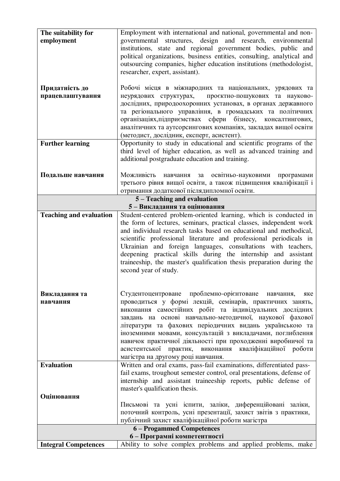| The suitability for                                       | Employment with international and national, governmental and non-                                                      |  |  |
|-----------------------------------------------------------|------------------------------------------------------------------------------------------------------------------------|--|--|
| employment                                                | governmental structures, design and research, environmental                                                            |  |  |
|                                                           | institutions, state and regional government bodies, public and                                                         |  |  |
|                                                           | political organizations, business entities, consulting, analytical and                                                 |  |  |
|                                                           | outsourcing companies, higher education institutions (methodologist,                                                   |  |  |
|                                                           | researcher, expert, assistant).                                                                                        |  |  |
| Придатність до                                            | Робочі місця в міжнародних та національних, урядових та                                                                |  |  |
| працевлаштування                                          | неурядових структурах, проєктно-пошукових та науково-                                                                  |  |  |
|                                                           | дослідних, природоохоронних установах, в органах державного                                                            |  |  |
|                                                           | та регіонального управління, в громадських та політичних                                                               |  |  |
|                                                           | організаціях, підприємствах сфери бізнесу, консалтингових,                                                             |  |  |
|                                                           | аналітичних та аутсорсингових компаніях, закладах вищої освіти                                                         |  |  |
|                                                           | (методист, дослідник, експерт, асистент).                                                                              |  |  |
| <b>Further learning</b>                                   | Opportunity to study in educational and scientific programs of the                                                     |  |  |
|                                                           | third level of higher education, as well as advanced training and<br>additional postgraduate education and training.   |  |  |
|                                                           |                                                                                                                        |  |  |
| Подальше навчання                                         | Можливість<br>навчання за освітньо-науковими<br>програмами                                                             |  |  |
|                                                           | третього рівня вищої освіти, а також підвищення кваліфікації і                                                         |  |  |
|                                                           | отримання додаткової післядипломної освіти.                                                                            |  |  |
| 5 - Teaching and evaluation                               |                                                                                                                        |  |  |
| <b>Teaching and evaluation</b>                            | 5-Викладання та оцінювання<br>Student-centered problem-oriented learning, which is conducted in                        |  |  |
|                                                           | the form of lectures, seminars, practical classes, independent work                                                    |  |  |
|                                                           | and individual research tasks based on educational and methodical,                                                     |  |  |
|                                                           | scientific professional literature and professional periodicals in                                                     |  |  |
|                                                           | Ukrainian and foreign languages, consultations with teachers,                                                          |  |  |
|                                                           | deepening practical skills during the internship and assistant                                                         |  |  |
|                                                           | traineeship, the master's qualification thesis preparation during the                                                  |  |  |
|                                                           | second year of study.                                                                                                  |  |  |
|                                                           |                                                                                                                        |  |  |
| Викладання та                                             | Студентоцентроване проблемно-орієнтоване навчання,<br>яке                                                              |  |  |
| навчання                                                  | проводиться у формі лекцій, семінарів, практичних занять,                                                              |  |  |
|                                                           | виконання самостійних робіт та індивідуальних дослідних                                                                |  |  |
|                                                           | завдань на основі навчально-методичної, наукової фахової                                                               |  |  |
|                                                           | літератури та фахових періодичних видань українською та                                                                |  |  |
|                                                           | іноземними мовами, консультацій з викладачами, поглиблення                                                             |  |  |
|                                                           | навичок практичної діяльності при проходженні виробничої та<br>асистентської практик, виконання кваліфікаційної роботи |  |  |
|                                                           | магістра на другому році навчання.                                                                                     |  |  |
| <b>Evaluation</b>                                         | Written and oral exams, pass-fail examinations, differentiated pass-                                                   |  |  |
|                                                           | fail exams, troughout semester control, oral presentations, defense of                                                 |  |  |
|                                                           | internship and assistant traineeship reports, public defense of                                                        |  |  |
|                                                           | master's qualification thesis.                                                                                         |  |  |
| Оцінювання                                                |                                                                                                                        |  |  |
|                                                           | Письмові та усні іспити, заліки, диференційовані заліки,                                                               |  |  |
|                                                           | поточний контроль, усні презентації, захист звітів з практики,                                                         |  |  |
|                                                           | публічний захист кваліфікаційної роботи магістра                                                                       |  |  |
| 6 - Progammed Competences<br>6 - Програмні компетентності |                                                                                                                        |  |  |
| <b>Integral Competences</b>                               | Ability to solve complex problems and applied problems, make                                                           |  |  |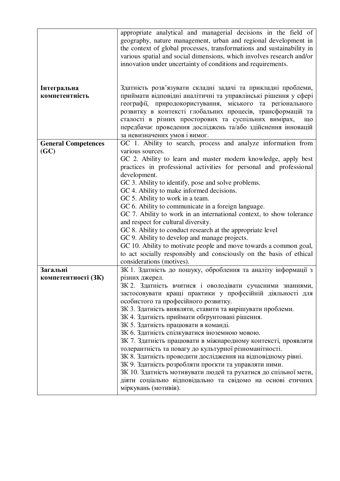|                            | appropriate analytical and managerial decisions in the field of<br>geography, nature management, urban and regional development in<br>the context of global processes, transformations and sustainability in<br>various spatial and social dimensions, which involves research and/or<br>innovation under uncertainty of conditions and requirements. |
|----------------------------|-------------------------------------------------------------------------------------------------------------------------------------------------------------------------------------------------------------------------------------------------------------------------------------------------------------------------------------------------------|
| Інтегральна                | Здатність розв'язувати складні задачі та прикладні проблеми,                                                                                                                                                                                                                                                                                          |
| компетентність             | приймати відповідні аналітичні та управлінські рішення у сфері                                                                                                                                                                                                                                                                                        |
|                            | географії, природокористування, міського та регіонального<br>розвитку в контексті глобальних процесів, трансформацій та<br>сталості в різних просторових та суспільних вимірах,<br>ЩО<br>передбачає проведення досліджень та/або здійснення інновацій<br>за невизначених умов і вимог.                                                                |
| <b>General Competences</b> | GC 1. Ability to search, process and analyze information from                                                                                                                                                                                                                                                                                         |
| (GC)                       | various sources.                                                                                                                                                                                                                                                                                                                                      |
|                            | GC 2. Ability to learn and master modern knowledge, apply best<br>practices in professional activities for personal and professional                                                                                                                                                                                                                  |
|                            | development.                                                                                                                                                                                                                                                                                                                                          |
|                            | GC 3. Ability to identify, pose and solve problems.                                                                                                                                                                                                                                                                                                   |
|                            | GC 4. Ability to make informed decisions.                                                                                                                                                                                                                                                                                                             |
|                            | GC 5. Ability to work in a team.                                                                                                                                                                                                                                                                                                                      |
|                            | GC 6. Ability to communicate in a foreign language.                                                                                                                                                                                                                                                                                                   |
|                            | GC 7. Ability to work in an international context, to show tolerance                                                                                                                                                                                                                                                                                  |
|                            | and respect for cultural diversity.                                                                                                                                                                                                                                                                                                                   |
|                            | GC 8. Ability to conduct research at the appropriate level                                                                                                                                                                                                                                                                                            |
|                            | GC 9. Ability to develop and manage projects.                                                                                                                                                                                                                                                                                                         |
|                            | GC 10. Ability to motivate people and move towards a common goal,                                                                                                                                                                                                                                                                                     |
|                            | to act socially responsibly and consciously on the basis of ethical<br>considerations (motives).                                                                                                                                                                                                                                                      |
| Загальні                   | ЗК 1. Здатність до пошуку, оброблення та аналізу інформації з                                                                                                                                                                                                                                                                                         |
| компетентності (ЗК)        | різних джерел.                                                                                                                                                                                                                                                                                                                                        |
|                            | ЗК 2. Здатність вчитися і оволодівати сучасними знаннями,                                                                                                                                                                                                                                                                                             |
|                            | застосовувати кращі практики у професійній діяльності для                                                                                                                                                                                                                                                                                             |
|                            | особистого та професійного розвитку.                                                                                                                                                                                                                                                                                                                  |
|                            | ЗК 3. Здатність виявляти, ставити та вирішувати проблеми.                                                                                                                                                                                                                                                                                             |
|                            | ЗК 4. Здатність приймати обгрунтовані рішення.                                                                                                                                                                                                                                                                                                        |
|                            | ЗК 5. Здатність працювати в команді.                                                                                                                                                                                                                                                                                                                  |
|                            | ЗК 6. Здатність спілкуватися іноземною мовою.                                                                                                                                                                                                                                                                                                         |
|                            | ЗК 7. Здатність працювати в міжнародному контексті, проявляти                                                                                                                                                                                                                                                                                         |
|                            | толерантність та повагу до культурної різноманітності.                                                                                                                                                                                                                                                                                                |
|                            | ЗК 8. Здатність проводити дослідження на відповідному рівні.                                                                                                                                                                                                                                                                                          |
|                            | ЗК 9. Здатність розробляти проєкти та управляти ними.<br>ЗК 10. Здатність мотивувати людей та рухатися до спільної мети,                                                                                                                                                                                                                              |
|                            | діяти соціально відповідально та свідомо на основі етичних<br>міркувань (мотивів).                                                                                                                                                                                                                                                                    |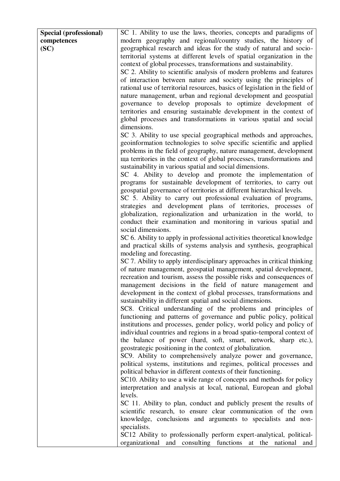| Special (professional) | SC 1. Ability to use the laws, theories, concepts and paradigms of           |
|------------------------|------------------------------------------------------------------------------|
| competences            | modern geography and regional/country studies, the history of                |
| SC)                    | geographical research and ideas for the study of natural and socio-          |
|                        | territorial systems at different levels of spatial organization in the       |
|                        | context of global processes, transformations and sustainability.             |
|                        | SC 2. Ability to scientific analysis of modern problems and features         |
|                        | of interaction between nature and society using the principles of            |
|                        | rational use of territorial resources, basics of legislation in the field of |
|                        |                                                                              |
|                        | nature management, urban and regional development and geospatial             |
|                        | governance to develop proposals to optimize development of                   |
|                        | territories and ensuring sustainable development in the context of           |
|                        | global processes and transformations in various spatial and social           |
|                        | dimensions.                                                                  |
|                        | SC 3. Ability to use special geographical methods and approaches,            |
|                        | geoinformation technologies to solve specific scientific and applied         |
|                        | problems in the field of geography, nature management, development           |
|                        | ща territories in the context of global processes, transformations and       |
|                        | sustainability in various spatial and social dimensions.                     |
|                        | SC 4. Ability to develop and promote the implementation of                   |
|                        | programs for sustainable development of territories, to carry out            |
|                        | geospatial governance of territories at different hierarchical levels.       |
|                        | SC 5. Ability to carry out professional evaluation of programs,              |
|                        | strategies and development plans of territories, processes of                |
|                        | globalization, regionalization and urbanization in the world, to             |
|                        | conduct their examination and monitoring in various spatial and              |
|                        | social dimensions.                                                           |
|                        | SC 6. Ability to apply in professional activities theoretical knowledge      |
|                        | and practical skills of systems analysis and synthesis, geographical         |
|                        | modeling and forecasting.                                                    |
|                        |                                                                              |
|                        | SC 7. Ability to apply interdisciplinary approaches in critical thinking     |
|                        | of nature management, geospatial management, spatial development,            |
|                        | recreation and tourism, assess the possible risks and consequences of        |
|                        | management decisions in the field of nature management and                   |
|                        | development in the context of global processes, transformations and          |
|                        | sustainability in different spatial and social dimensions.                   |
|                        | SC8. Critical understanding of the problems and principles of                |
|                        | functioning and patterns of governance and public policy, political          |
|                        | institutions and processes, gender policy, world policy and policy of        |
|                        | individual countries and regions in a broad spatio-temporal context of       |
|                        | the balance of power (hard, soft, smart, network, sharp etc.),               |
|                        | geostrategic positioning in the context of globalization.                    |
|                        | SC9. Ability to comprehensively analyze power and governance,                |
|                        | political systems, institutions and regimes, political processes and         |
|                        | political behavior in different contexts of their functioning.               |
|                        | SC10. Ability to use a wide range of concepts and methods for policy         |
|                        | interpretation and analysis at local, national, European and global          |
|                        | levels.                                                                      |
|                        | SC 11. Ability to plan, conduct and publicly present the results of          |
|                        | scientific research, to ensure clear communication of the own                |
|                        | knowledge, conclusions and arguments to specialists and non-                 |
|                        | specialists.                                                                 |
|                        | SC12 Ability to professionally perform expert-analytical, political-         |
|                        |                                                                              |
|                        | organizational and consulting functions at the national<br>and               |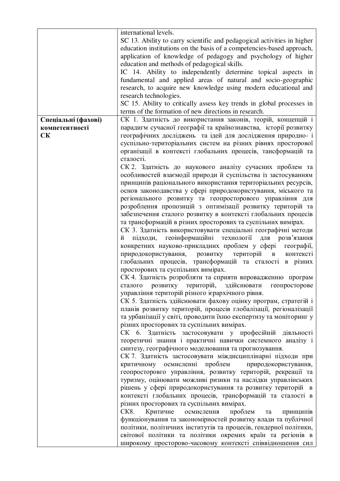|                     | international levels.                                                   |
|---------------------|-------------------------------------------------------------------------|
|                     | SC 13. Ability to carry scientific and pedagogical activities in higher |
|                     | education institutions on the basis of a competencies-based approach,   |
|                     | application of knowledge of pedagogy and psychology of higher           |
|                     | education and methods of pedagogical skills.                            |
|                     | IC 14. Ability to independently determine topical aspects in            |
|                     | fundamental and applied areas of natural and socio-geographic           |
|                     | research, to acquire new knowledge using modern educational and         |
|                     | research technologies.                                                  |
|                     | SC 15. Ability to critically assess key trends in global processes in   |
|                     | terms of the formation of new directions in research.                   |
| Спеціальні (фахові) | СК 1. Здатність до використання законів, теорій, концепцій і            |
| компетентності      | парадигм сучасної географії та країнознавства, історії розвитку         |
| <b>CK</b>           | географічних досліджень та ідей для дослідження природно- і             |
|                     | суспільно-територіальних систем на різних рівнях просторової            |
|                     | організації в контексті глобальних процесів, тансформацій та            |
|                     | сталості.                                                               |
|                     | СК 2. Здатність до наукового аналізу сучасних проблем та                |
|                     | особливостей взаємодії природи й суспільства із застосуванням           |
|                     | принципів раціонального використання територіальних ресурсів,           |
|                     | основ законодавства у сфері природокористування, міського та            |
|                     | регіонального розвитку та геопросторового управління для                |
|                     | розроблення пропозицій з оптимізації розвитку територій та              |
|                     | забезпечення сталого розвитку в контексті глобальних процесів           |
|                     | та трансформацій в різних просторових та суспільних вимірах.            |
|                     | СК 3. Здатність використовувати спеціальні географічні методи           |
|                     | підходи, геоінформаційні технології<br>для розв'язання<br>й             |
|                     | конкретних науково-прикладних проблем у сфері географії,                |
|                     | природокористування, розвитку територій<br>в контексті                  |
|                     | глобальних процесів, трансформацій та сталості в різних                 |
|                     | просторових та суспільних вимірах.                                      |
|                     | СК 4. Здатність розробляти та сприяти впровадженню програм              |
|                     | сталого розвитку територій, здійснювати геопросторове                   |
|                     | управління територій різного ієрархічного рівня.                        |
|                     | СК 5. Здатність здійснювати фахову оцінку програм, стратегій і          |
|                     | планів розвитку територій, процесів глобалізації, регіоналізації        |
|                     | та урбанізації у світі, проводити їхню експертизу та моніторинг у       |
|                     | різних просторових та суспільних вимірах.                               |
|                     | СК 6. Здатність застосовувати у професійній діяльності                  |
|                     | теоретичні знання і практичні навички системного аналізу і              |
|                     | синтезу, географічного моделювання та прогнозування.                    |
|                     | СК 7. Здатність застосовувати міждисциплінарні підходи при              |
|                     | критичному осмисленні проблем<br>природокористування,                   |
|                     | геопросторовго управління, розвитку територій, рекреації та             |
|                     | туризму, оцінювати можливі ризики та наслідки управлінських             |
|                     | рішень у сфері природокористування та розвитку територій в              |
|                     | контексті глобальних процесів, трансформацій та сталості в              |
|                     | різних просторових та суспільних вимірах.                               |
|                     | CK8.<br>Критичне осмислення<br>проблем<br>принципів<br>та               |
|                     | функціонування та закономірностей розвитку влади та публічної           |
|                     | політики, політичних інститутів та процесів, гендерної політики,        |
|                     | світової політики та політики окремих країн та регіонів в               |
|                     | широкому просторово-часовому контексті співвідношення сил               |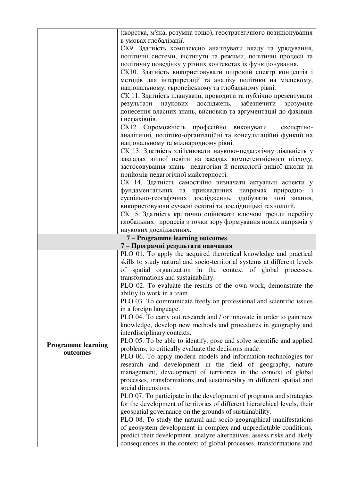|                           | (жорстка, м'яка, розумна тощо), геостратегічного позиціонування                                                                       |
|---------------------------|---------------------------------------------------------------------------------------------------------------------------------------|
|                           | в умовах глобалізації.                                                                                                                |
|                           | СК9. Здатність комплексно аналізувати владу та урядування,                                                                            |
|                           | політичні системи, інститути та режими, політичні процеси та                                                                          |
|                           | політичну поведінку у різних контекстах їх функціонування.                                                                            |
|                           | СК10. Здатність використовувати широкий спектр концептів і                                                                            |
|                           | методів для інтерпретації та аналізу політики на місцевому,                                                                           |
|                           | національному, європейському та глобальному рівні.                                                                                    |
|                           | СК 11. Здатність планувати, проводити та публічно презентувати                                                                        |
|                           | досліджень,<br>забезпечити<br>наукових<br>зрозуміле<br>результати                                                                     |
|                           | донесення власних знань, висновків та аргументацій до фахівців                                                                        |
|                           | і нефахівців.                                                                                                                         |
|                           | СК12 Спроможність професійно виконувати експертно-                                                                                    |
|                           | аналітичні, політико-організаційні та консультаційні функції на                                                                       |
|                           | національному та міжнародному рівні.                                                                                                  |
|                           | СК 13. Здатність здійснювати науково-педагогічну діяльність у                                                                         |
|                           | закладах вищої освіти на засадах компетентнісного підходу,                                                                            |
|                           | застосовування знань педагогіки й психології вищої школи та                                                                           |
|                           | прийомів педагогічної майстерності.                                                                                                   |
|                           | СК 14. Здатність самостійно визначати актуальні аспекти у                                                                             |
|                           | фундаментальних та прикладніних напрямах природно- і                                                                                  |
|                           | суспільно-геогафічних дослідженнь, здобувати нові знання,                                                                             |
|                           | використовуючи сучасні освітні та дослідницькі технології.                                                                            |
|                           | СК 15. Здатність критично оцінювати ключові тренди перебігу                                                                           |
|                           | глобальних процесів з точки зору формування нових напрямів у<br>наукових дослідженнях.                                                |
|                           | 7 - Programme learning outcomes                                                                                                       |
|                           | 7 - Програмні результати навчання                                                                                                     |
|                           | PLO 01. To apply the acquired theoretical knowledge and practical                                                                     |
|                           | skills to study natural and socio-territorial systems at different levels                                                             |
|                           | of spatial organization in the context of global processes,                                                                           |
|                           | transformations and sustainability.                                                                                                   |
|                           | PLO 02. To evaluate the results of the own work, demonstrate the                                                                      |
|                           | ability to work in a team.                                                                                                            |
|                           | PLO 03. To communicate freely on professional and scientific issues                                                                   |
|                           | in a foreign language.                                                                                                                |
|                           | PLO 04. To carry out research and / or innovate in order to gain new                                                                  |
|                           | knowledge, develop new methods and procedures in geography and                                                                        |
|                           | interdisciplinary contexts.                                                                                                           |
| <b>Programme learning</b> | PLO 05. To be able to identify, pose and solve scientific and applied                                                                 |
| outcomes                  | problems, to critically evaluate the decisions made.                                                                                  |
|                           | PLO 06. To apply modern models and information technologies for                                                                       |
|                           | research and development in the field of geography, nature                                                                            |
|                           | management, development of territories in the context of global                                                                       |
|                           | processes, transformations and sustainability in different spatial and                                                                |
|                           | social dimensions.                                                                                                                    |
|                           | PLO 07. To participate in the development of programs and strategies                                                                  |
|                           | for the development of territories of different hierarchical levels, their<br>geospatial governance on the grounds of sustainability. |
|                           | PLO 08. To study the natural and socio-geographical manifestations                                                                    |
|                           | of geosystem development in complex and unpredictable conditions,                                                                     |
|                           |                                                                                                                                       |
|                           | predict their development, analyze alternatives, assess risks and likely                                                              |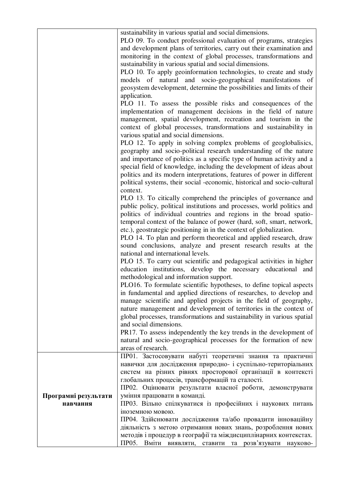|                                  | sustainability in various spatial and social dimensions.<br>PLO 09. To conduct professional evaluation of programs, strategies<br>and development plans of territories, carry out their examination and<br>monitoring in the context of global processes, transformations and<br>sustainability in various spatial and social dimensions.<br>PLO 10. To apply geoinformation technologies, to create and study<br>models of natural and socio-geographical manifestations of<br>geosystem development, determine the possibilities and limits of their<br>application.<br>PLO 11. To assess the possible risks and consequences of the<br>implementation of management decisions in the field of nature<br>management, spatial development, recreation and tourism in the<br>context of global processes, transformations and sustainability in<br>various spatial and social dimensions.<br>PLO 12. To apply in solving complex problems of geoglobalisics, |
|----------------------------------|--------------------------------------------------------------------------------------------------------------------------------------------------------------------------------------------------------------------------------------------------------------------------------------------------------------------------------------------------------------------------------------------------------------------------------------------------------------------------------------------------------------------------------------------------------------------------------------------------------------------------------------------------------------------------------------------------------------------------------------------------------------------------------------------------------------------------------------------------------------------------------------------------------------------------------------------------------------|
|                                  | geography and socio-political research understanding of the nature<br>and importance of politics as a specific type of human activity and a<br>special field of knowledge, including the development of ideas about<br>politics and its modern interpretations, features of power in different<br>political systems, their social -economic, historical and socio-cultural                                                                                                                                                                                                                                                                                                                                                                                                                                                                                                                                                                                   |
|                                  | context.<br>PLO 13. To citically comprehend the principles of governance and<br>public policy, political institutions and processes, world politics and<br>politics of individual countries and regions in the broad spatio-<br>temporal context of the balance of power (hard, soft, smart, network,<br>etc.), geostrategic positioning in in the context of globalization.<br>PLO 14. To plan and perform theoretical and applied research, draw<br>sound conclusions, analyze and present research results at the<br>national and international levels.                                                                                                                                                                                                                                                                                                                                                                                                   |
|                                  | PLO 15. To carry out scientific and pedagogical activities in higher<br>education institutions, develop the necessary educational and<br>methodological and information support.<br>PLO16. To formulate scientific hypotheses, to define topical aspects<br>in fundamental and applied directions of researches, to develop and<br>manage scientific and applied projects in the field of geography,<br>nature management and development of territories in the context of<br>global processes, transformations and sustainability in various spatial<br>and social dimensions.                                                                                                                                                                                                                                                                                                                                                                              |
|                                  | PR17. To assess independently the key trends in the development of<br>natural and socio-geographical processes for the formation of new<br>areas of research.                                                                                                                                                                                                                                                                                                                                                                                                                                                                                                                                                                                                                                                                                                                                                                                                |
| Програмні результати<br>навчання | ПР01. Застосовувати набуті теоретичні знання та практичні<br>навички для дослідження природно- і суспільно-територіальних<br>систем на різних рівнях просторової організації в контексті<br>глобальних процесів, трансформацій та сталості.<br>ПР02. Оцінювати результати власної роботи, демонструвати<br>уміння працювати в команді.<br>ПР03. Вільно спілкуватися із професійних і наукових питань                                                                                                                                                                                                                                                                                                                                                                                                                                                                                                                                                         |
|                                  | іноземною мовою.<br>ПР04. Здійснювати дослідження та/або провадити інноваційну<br>діяльність з метою отримання нових знань, розроблення нових<br>методів і процедур в географії та міждисциплінарних контекстах.<br>ПР05. Вміти виявляти, ставити та розв'язувати науково-                                                                                                                                                                                                                                                                                                                                                                                                                                                                                                                                                                                                                                                                                   |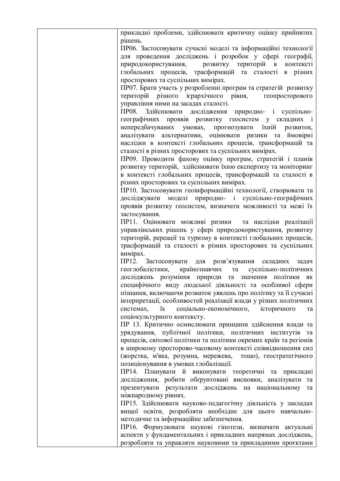прикладні проблеми, здійснювати критичну оцінку прийнятих рішень. ПР06. Застосовувати сучасні моделі та інформаційні технології для проведення досліджень і розробок у сфері географії, природокористування, розвитку територій в контексті глобальних процесів, трасформацій та сталості в різних просторових та суспільних вимірах. ПР07. Брати участь у розробленні програм та стратегій розвитку територій різного ієрархічного рівня, геопросторового управління ними на засадах сталості. ПР08. Здійснювати дослідження природно- і суспільногеографічних проявів розвитку геосистем у складних і непередбачуваних умовах, прогнозувати їхній розвиток, аналізувати альтернативи, оцінювати ризики та ймовірні наслідки в контексті глобальних процесів, трансформацій та сталості в різних просторових та суспільних вимірах. ПР09. Проводити фахову оцінку програм, стратегій і планів розвитку територій, здійснювати їхню експертизу та моніторинг в контексті глобальних процесів, трансформацій та сталості в різних просторових та суспільних вимірах. ПР10. Застосовувати геоінформаційні технології, створювати та досліджувати моделі природно- і суспільно-географічних проявів розвитку геосистем, визначати можливості та межі їх застосування. ПР11. Оцінювати можливі ризики та наслідки реалізації управлінських рішень у сфері природокористування, розвитку територій, ререації та туризму в контексті глобальних процесів, трасформацій та сталості в різних просторових та суспільних вимірах. ПР12. Застосовувати для розв'язування складних задач геоглобалістики, країнознавчих та суспільно-політичних досліджень розуміння природи та значення політики як специфічного виду людської діяльності та особливої сфери пізнання, включаючи розвиток уявлень про політику та її сучасні інтерпретації, особливостей реалізації влади у різних політичних системах, їх соціально-економічного, історичного та соціокультурного контексту. ПР 13. Критично осмислювати принципи здійснення влади та урядування, публічної політики, політичних інститутів та процесів, світової політики та політики окремих країн та регіонів в широкому просторово-часовому контексті співвідношення сил (жорстка, м'яка, розумна, мережева, тощо), геостратегічного позиціонування в умовах глобалізації. ПР14. Планувати й виконувати теоретичні та прикладні дослідження, робити обґрунтовані висновки, аналізувати та презентувати результати досліджень на національному та міжнародному рівнях. ПР15. Здійснювати науково-педагогічну діяльність у закладах вищої освіти, розробляти необхідне для цього навчальнометодичне та інформаційне забезпечення. ПР16. Формулювати наукові гіпотези, визначати актуальні аспекти у фундаментальних і прикладних напрямах досліджень, розробляти та управляти науковими та прикладними проєктами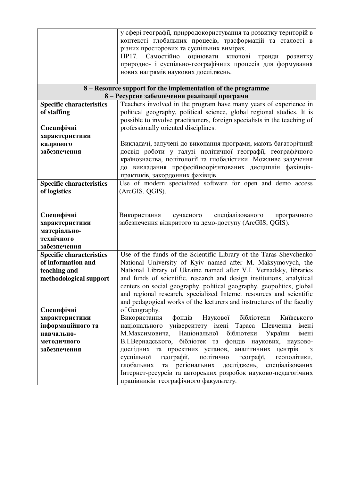|                                 | у сфері географії, прирродокористування та розвитку територій в                                               |
|---------------------------------|---------------------------------------------------------------------------------------------------------------|
|                                 | контексті глобальних процесів, трасформацій та сталості в                                                     |
|                                 | різних просторових та суспільних вимірах.                                                                     |
|                                 | ПР17. Самостійно<br>оцінювати<br>ключові                                                                      |
|                                 | тренди<br>розвитку                                                                                            |
|                                 | природно- і суспільно-географічних процесів для формування                                                    |
|                                 | нових напрямів наукових досліджень.                                                                           |
|                                 |                                                                                                               |
|                                 | 8 – Resource support for the implementation of the programme<br>8 - Ресурсне забезпечення реалізації програми |
| <b>Specific characteristics</b> | Teachers involved in the program have many years of experience in                                             |
|                                 | political geography, political science, global regional studies. It is                                        |
| of staffing                     |                                                                                                               |
|                                 | possible to involve practitioners, foreign specialists in the teaching of                                     |
| Специфічні                      | professionally oriented disciplines.                                                                          |
| характеристики                  |                                                                                                               |
| кадрового                       | Викладачі, залучені до виконання програми, мають багаторічний                                                 |
| забезпечення                    | досвід роботи у галузі політичної географії, географічного                                                    |
|                                 | країнознаства, політології та глобалістики. Можливе залучення                                                 |
|                                 | до викладання професійноорієнтованих дисциплін фахівців-                                                      |
|                                 | практиків, закордонних фахівців.                                                                              |
| <b>Specific characteristics</b> | Use of modern specialized software for open and demo access                                                   |
| of logistics                    | (ArcGIS, QGIS).                                                                                               |
|                                 |                                                                                                               |
|                                 |                                                                                                               |
| Специфічні                      | Використання<br>сучасного<br>спеціалізованого<br>програмного                                                  |
| характеристики                  | забезпечення відкритого та демо-доступу (ArcGIS, QGIS).                                                       |
| матеріально-                    |                                                                                                               |
| технічного                      |                                                                                                               |
| забезпечення                    |                                                                                                               |
| <b>Specific characteristics</b> | Use of the funds of the Scientific Library of the Taras Shevchenko                                            |
| of information and              | National University of Kyiv named after M. Maksymovych, the                                                   |
| teaching and                    | National Library of Ukraine named after V.I. Vernadsky, libraries                                             |
| methodological support          | and funds of scientific, research and design institutions, analytical                                         |
|                                 | centers on social geography, political geography, geopolitics, global                                         |
|                                 | and regional research, specialized Internet resources and scientific                                          |
|                                 | and pedagogical works of the lecturers and instructures of the faculty                                        |
| Специфічні                      | of Geography.                                                                                                 |
| характеристики                  | Використання<br>фондів<br>Наукової бібліотеки<br>Київського                                                   |
| інформаційного та               | національного<br>університету імені Тараса Шевченка<br>імені                                                  |
| навчально-                      | М.Максимовича,<br>Національної<br>бібліотеки<br>України<br>імені                                              |
|                                 | В.І.Вернадського, бібліотек та фондів наукових, науково-                                                      |
| методичного                     |                                                                                                               |
| забезпечення                    | дослідних та проектних установ, аналітичних центрів<br>3                                                      |
|                                 | політично<br>суспільної<br>географії,<br>географі,<br>геополітики,                                            |
|                                 | регіональних<br>досліджень, спеціалізованих<br>глобальних<br>та                                               |
|                                 | Інтернет-ресурсів та авторських розробок науково-педагогічних                                                 |
|                                 | працівників географічного факультету.                                                                         |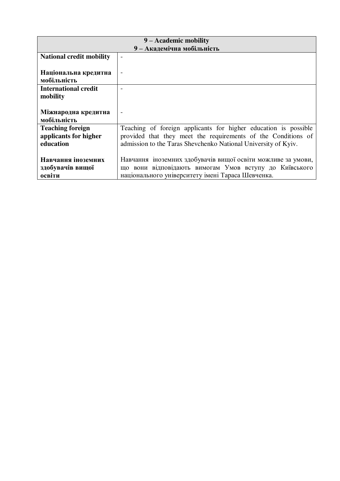|                                 | 9 – Academic mobility                                           |  |  |  |  |  |  |  |  |  |  |  |
|---------------------------------|-----------------------------------------------------------------|--|--|--|--|--|--|--|--|--|--|--|
| 9 - Академічна мобільність      |                                                                 |  |  |  |  |  |  |  |  |  |  |  |
| <b>National credit mobility</b> | $\overline{\phantom{a}}$                                        |  |  |  |  |  |  |  |  |  |  |  |
|                                 |                                                                 |  |  |  |  |  |  |  |  |  |  |  |
| Національна кредитна            | $\qquad \qquad$                                                 |  |  |  |  |  |  |  |  |  |  |  |
| мобільність                     |                                                                 |  |  |  |  |  |  |  |  |  |  |  |
| International credit            |                                                                 |  |  |  |  |  |  |  |  |  |  |  |
| mobility                        |                                                                 |  |  |  |  |  |  |  |  |  |  |  |
|                                 |                                                                 |  |  |  |  |  |  |  |  |  |  |  |
| Міжнародна кредитна             | $\overline{a}$                                                  |  |  |  |  |  |  |  |  |  |  |  |
| мобільність                     |                                                                 |  |  |  |  |  |  |  |  |  |  |  |
| <b>Teaching foreign</b>         | Teaching of foreign applicants for higher education is possible |  |  |  |  |  |  |  |  |  |  |  |
| applicants for higher           | provided that they meet the requirements of the Conditions of   |  |  |  |  |  |  |  |  |  |  |  |
| education                       | admission to the Taras Shevchenko National University of Kyiv.  |  |  |  |  |  |  |  |  |  |  |  |
|                                 |                                                                 |  |  |  |  |  |  |  |  |  |  |  |
| Навчання іноземних              | Навчання іноземних здобувачів вищої освіти можливе за умови,    |  |  |  |  |  |  |  |  |  |  |  |
| здобувачів вищої                | що вони відповідають вимогам Умов вступу до Київського          |  |  |  |  |  |  |  |  |  |  |  |
| освіти                          | національного університету імені Тараса Шевченка.               |  |  |  |  |  |  |  |  |  |  |  |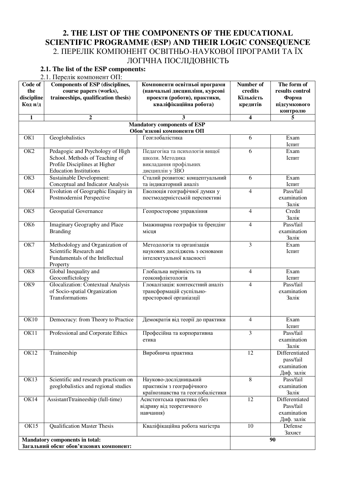#### **2. THE LIST OF THE COMPONENTS OF THE EDUCATIONAL SCIENTIFIC PROGRAMME (ESP) AND THEIR LOGIC CONSEQUENCE**  2. ПЕРЕЛІК КОМПОНЕНТ ОСВІТНЬО-НАУКОВОЇ ПРОГРАМИ ТА ЇХ ЛОГІЧНА ПОСЛІДОВНІСТЬ

# **2.1. The list of the ESP components:**

2.1. Перелік компонент ОП:

| Code of                 | <b>Components of ESP (disciplines,</b>                                       | Компоненти освітньої програми                      | Number of                | The form of             |
|-------------------------|------------------------------------------------------------------------------|----------------------------------------------------|--------------------------|-------------------------|
| the                     | course papers (works),                                                       | (навчальні дисципліни, курсові                     | credits                  | results control         |
| discipline              | traineeships, qualification thesis)                                          | проекти (роботи), практики,                        | Кількість                | Форма                   |
| Код н/д                 |                                                                              | кваліфікаційна робота)                             | кредитів                 | підсумкового            |
| $\mathbf{1}$            | $\overline{2}$                                                               | $\mathbf{3}$                                       | 4                        | контролю<br>5           |
|                         |                                                                              | <b>Mandatory components of ESP</b>                 |                          |                         |
|                         |                                                                              | Обов'язкові компоненти ОП                          |                          |                         |
| OK1                     | Geoglobalistics                                                              | Геоглобалістика                                    | 6                        | Exam                    |
|                         |                                                                              |                                                    |                          | Іспит                   |
| OK2                     | Pedagogic and Psychology of High                                             | Педагогіка та психологія вищої                     | 6                        | Exam                    |
|                         | School. Methods of Teaching of                                               | школи. Методика                                    |                          | Іспит                   |
|                         | Profile Disciplines at Higher                                                | викладання профільних                              |                          |                         |
|                         | <b>Education Institutions</b>                                                | дисциплін у ЗВО                                    |                          |                         |
| OK3                     | <b>Sustainable Development:</b>                                              | Сталий розвиток: концептуальний                    | 6                        | Exam                    |
|                         | Conceptual and Indicator Analysis                                            | та індикаторний аналіз                             |                          | Іспит                   |
| OK4                     | Evolution of Geographic Enquiry in                                           | Еволюція географічної думки у                      | $\overline{\mathbf{4}}$  | Pass/fail               |
|                         | Postmodernist Perspective                                                    | постмодерністській перспективі                     |                          | examination             |
|                         |                                                                              |                                                    |                          | Залік                   |
| OK5                     | <b>Geospatial Governance</b>                                                 | Геопросторове управління                           | 4                        | Credit<br>Залік         |
| OK <sub>6</sub>         | Imaginary Geography and Place                                                | Імажинарна географія та брендінг                   | $\overline{4}$           | Pass/fail               |
|                         | <b>Branding</b>                                                              | місця                                              |                          | examination             |
|                         |                                                                              |                                                    |                          | Залік                   |
| $\overline{\text{OK7}}$ | Methodology and Organization of                                              | Методологія та організація                         | $\overline{3}$           | Exam                    |
|                         | Scientific Research and                                                      | наукових досліджень з основами                     |                          | Іспит                   |
|                         | Fundamentals of the Intellectual                                             | інтелектуальної власності                          |                          |                         |
|                         | Property                                                                     |                                                    |                          |                         |
| OK8                     | Global Inequality and                                                        | Глобальна нерівність та                            | 4                        | Exam                    |
|                         | Geoconflictology                                                             | геоконфліктологія                                  |                          | Іспит                   |
| OK9                     | Glocalization: Contextual Analysis                                           | Глокалізація: контекстний аналіз                   | 4                        | Pass/fail               |
|                         | of Socio-spatial Organization                                                | трансформацій суспільно-                           |                          | examination             |
|                         | Transformations                                                              | просторової органіазції                            |                          | Залік                   |
|                         |                                                                              |                                                    |                          |                         |
|                         |                                                                              |                                                    |                          |                         |
| OK10                    | Democracy: from Theory to Practice                                           | Демократія від теорії до практики                  | $\overline{\mathcal{L}}$ | Exam                    |
|                         |                                                                              |                                                    |                          | Іспит                   |
| OK11                    | Professional and Corporate Ethics                                            | Професійна та корпоративна                         | 3                        | Pass/fail               |
|                         |                                                                              | етика                                              |                          | examination             |
|                         |                                                                              |                                                    |                          | Залік                   |
| OK12                    | Traineeship                                                                  | Виробнича практика                                 | 12                       | Differentiated          |
|                         |                                                                              |                                                    |                          | pass/fail               |
|                         |                                                                              |                                                    |                          | examination             |
| OK13                    |                                                                              |                                                    | 8                        | Диф. залік<br>Pass/fail |
|                         | Scientific and research practicum on<br>geoglobalistics and regional studies | Науково-дослідницький<br>практикім з географічного |                          | examination             |
|                         |                                                                              | країнознавства та геоглобалістики                  |                          | Залік                   |
| OK14                    | AssistantTtraineeship (full-time)                                            | Асистентська практика (без                         | 12                       | Differentiated          |
|                         |                                                                              | відриву від теоретичного                           |                          | Pass/fail               |
|                         |                                                                              | навчання)                                          |                          | examination             |
|                         |                                                                              |                                                    |                          | Диф. залік              |
| OK15                    | Qualification Master Thesis                                                  | Кваліфікаційна робота магістра                     | 10                       | Defense                 |
|                         |                                                                              |                                                    |                          | Захист                  |
|                         | <b>Mandatory components in total:</b>                                        |                                                    |                          | 90                      |
|                         | Загальний обсяг обов'язкових компонент:                                      |                                                    |                          |                         |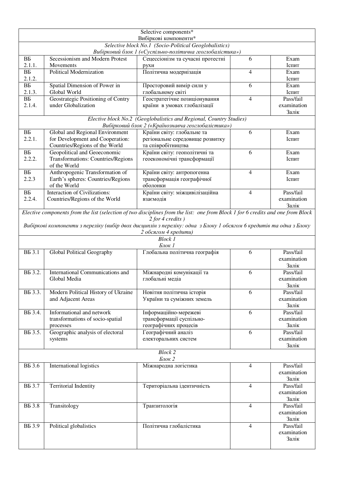|                           |                                                                                                                                  | Selective components*                                                                                                     |                |                          |
|---------------------------|----------------------------------------------------------------------------------------------------------------------------------|---------------------------------------------------------------------------------------------------------------------------|----------------|--------------------------|
|                           |                                                                                                                                  | Вибіркові компоненти*<br>Selective block No.1 (Socio-Political Geoglobalistics)                                           |                |                          |
|                           |                                                                                                                                  | Вибірковий блок 1 («Суспільно-політична геоглобалістика»)                                                                 |                |                          |
| $\overline{BE}$           | Secessionism and Modern Protest                                                                                                  | Сецессіонізм та сучасні протестні                                                                                         | 6              | Exam                     |
| 2.1.1.                    | Movements                                                                                                                        | рухи                                                                                                                      |                | Іспит                    |
| BБ                        | Political Modernization                                                                                                          | Політична модернізація                                                                                                    | $\overline{4}$ | Exam                     |
| 2.1.2.<br>BБ              | Spatial Dimension of Power in                                                                                                    |                                                                                                                           | 6              | Іспит<br>Exam            |
| 2.1.3.                    | Global World                                                                                                                     | Просторовий вимір сили у<br>глобальному світі                                                                             |                | Іспит                    |
| BБ                        | Geostrategic Positioning of Contry                                                                                               | Геостратегічне позиціонування                                                                                             | $\overline{4}$ | Pass/fail                |
| 2.1.4.                    | under Globalization                                                                                                              | країни в умовах глобалізації                                                                                              |                | examination              |
|                           |                                                                                                                                  |                                                                                                                           |                | Залік                    |
|                           |                                                                                                                                  | Elective block No.2 (Geoglobalistics and Regional, Country Studies)<br>Вибірковий блок 2 («Країнознавча геоглобалістика») |                |                          |
| BБ                        | Global and Regional Environment                                                                                                  | Країни світу: глобальне та                                                                                                | 6              | Exam                     |
| 2.2.1.                    | for Development and Cooperation:                                                                                                 | регіональне середовище розвитку                                                                                           |                | Іспит                    |
|                           | Countries/Regions of the World                                                                                                   | та співробітництва                                                                                                        |                |                          |
| B <sub>B</sub>            | Geopolitical and Geoeconomic                                                                                                     | Країни світу: геополітичні та                                                                                             | 6              | Exam                     |
| 2.2.2.                    | Transformations: Countries/Regions<br>of the World                                                                               | геоекономічні трансформації                                                                                               |                | Іспит                    |
| B <sub>B</sub>            | Anthropogenic Transformation of                                                                                                  | Країни світу: антропогенна                                                                                                | 4              | Exam                     |
| 2.2.3                     | Earth's spheres: Countries/Regions                                                                                               | трансформація географічної                                                                                                |                | Іспит                    |
|                           | of the World                                                                                                                     | оболонки                                                                                                                  |                |                          |
| B <sub>B</sub>            | Interaction of Civilizations:                                                                                                    | Країни світу: міжцивілізаційна                                                                                            | $\overline{4}$ | Pass/fail                |
| 2.2.4.                    | Countries/Regions of the World                                                                                                   | взаємодія                                                                                                                 |                | examination<br>Залік     |
|                           | Elective components from the list (selection of two disciplines from the list: one from Block 1 for 6 credits and one from Block |                                                                                                                           |                |                          |
|                           |                                                                                                                                  | $2$ for 4 credits)                                                                                                        |                |                          |
|                           | Вибіркові компоненти з переліку (вибір двох дисциплін з переліку: одна з Блоку 1 обсягом 6 кредитів та одна з Блоку              |                                                                                                                           |                |                          |
|                           |                                                                                                                                  | 2 обсягом 4 кредити)                                                                                                      |                |                          |
|                           |                                                                                                                                  | <b>Block 1</b><br>Блок 1                                                                                                  |                |                          |
| <b>BB</b> 3.1             | Global Political Geography                                                                                                       | Глобальна політична географія                                                                                             | 6              | Pass/fail                |
|                           |                                                                                                                                  |                                                                                                                           |                | examination              |
|                           |                                                                                                                                  |                                                                                                                           |                | Залік                    |
| B <sub>5</sub> 3.2.       | International Communications and                                                                                                 | Міжнародні комунікації та                                                                                                 | 6              | Pass/fail                |
|                           | Global Media                                                                                                                     | глобальні медіа                                                                                                           |                | examination<br>Залік     |
| B <sub>5</sub> 3.3.       | Modern Political History of Ukraine                                                                                              | Новітня політична історія                                                                                                 | 6              | Pass/fail                |
|                           | and Adjacent Areas                                                                                                               | України та суміжних земель                                                                                                |                | examination              |
|                           |                                                                                                                                  |                                                                                                                           |                | Залік                    |
| B <sub>5</sub> 3.4.       | Informational and network                                                                                                        | Інформаційно-мережеві                                                                                                     | 6              | Pass/fail                |
|                           | transformations of socio-spatial                                                                                                 | трансформації суспільно-                                                                                                  |                | examination              |
| B <sub>5</sub> 3.5.       | processes<br>Geographic analysis of electoral                                                                                    | географічних процесів<br>Географічний аналіз                                                                              | 6              | Залік<br>Pass/fail       |
|                           | systems                                                                                                                          | електоральних систем                                                                                                      |                | examination              |
|                           |                                                                                                                                  |                                                                                                                           |                | Залік                    |
|                           |                                                                                                                                  | <b>Block 2</b>                                                                                                            |                |                          |
|                           |                                                                                                                                  | Блок 2                                                                                                                    |                |                          |
| <b>B</b> B 3.6            | International logistics                                                                                                          | Міжнародна логістика                                                                                                      | $\overline{4}$ | Pass/fail<br>examination |
|                           |                                                                                                                                  |                                                                                                                           |                | Залік                    |
| <b>BB</b> 3.7             | <b>Territorial Indentity</b>                                                                                                     | Територіальна ідентичність                                                                                                | $\overline{4}$ | Pass/fail                |
|                           |                                                                                                                                  |                                                                                                                           |                | examination              |
|                           |                                                                                                                                  |                                                                                                                           |                | Залік                    |
| <b>B</b> <sub>5</sub> 3.8 | Transitology                                                                                                                     | Транзитологія                                                                                                             | 4              | Pass/fail                |
|                           |                                                                                                                                  |                                                                                                                           |                | examination<br>Залік     |
| <b>B</b> <sub>5</sub> 3.9 | Political globalistics                                                                                                           | Політична глобалістика                                                                                                    | $\overline{4}$ | Pass/fail                |
|                           |                                                                                                                                  |                                                                                                                           |                | examination              |
|                           |                                                                                                                                  |                                                                                                                           |                | Залік                    |
|                           |                                                                                                                                  |                                                                                                                           |                |                          |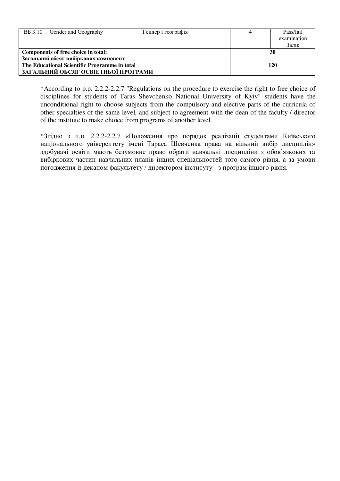| <b>BE</b> 3.10                                | Gender and Geography                 | Гендер і географія |  | Pass/fail<br>examination<br>Залік |  |  |  |  |  |  |  |  |
|-----------------------------------------------|--------------------------------------|--------------------|--|-----------------------------------|--|--|--|--|--|--|--|--|
|                                               | Components of free choice in total:  | 30                 |  |                                   |  |  |  |  |  |  |  |  |
|                                               | Загальний обсяг вибіркових компонент |                    |  |                                   |  |  |  |  |  |  |  |  |
| The Educational Scientific Programme in total |                                      | 120                |  |                                   |  |  |  |  |  |  |  |  |
|                                               | ЗАГАЛЬНИЙ ОБСЯГ ОСВІЕТНЬОЇ ПРОГРАМИ  |                    |  |                                   |  |  |  |  |  |  |  |  |

\*According to p.p. 2.2.2-2.2.7 "Regulations on the procedure to exercise the right to free choice of disciplines for students of Taras Shevchenko National University of Kyiv" students have the unconditional right to choose subjects from the compulsory and elective parts of the curricula of other specialties of the same level, and subject to agreement with the dean of the faculty / director of the institute to make choice from programs of another level.

\*Згідно з п.п. 2.2.2-2.2.7 «Положення про порядок реалізації студентами Київського національного університету імені Тараса Шевченка права на вільний вибір дисциплін» здобувачі освіти мають безумовне право обрати навчальні дисципліни з обов'язкових та вибіркових частин навчальних планів інших спеціальностей того самого рівня, а за умови погодження із деканом факультету / директором інституту - з програм іншого рівня.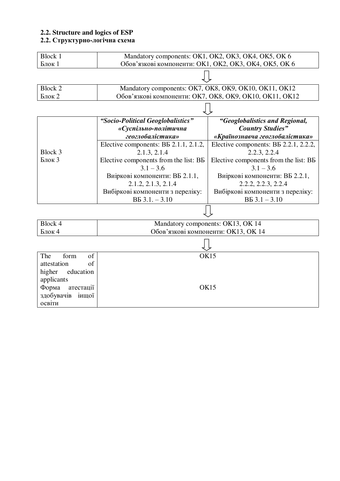#### **2.2. Structure and logics of ESP**

#### **2.2. Структурно-логічна схема**

| <b>Block 1</b>                                                    |                                                           | Mandatory components: OK1, OK2, OK3, OK4, OK5, OK 6       |  |  |  |  |  |  |  |  |  |  |
|-------------------------------------------------------------------|-----------------------------------------------------------|-----------------------------------------------------------|--|--|--|--|--|--|--|--|--|--|
| Блок 1                                                            |                                                           | Обов'язкові компоненти: ОК1, ОК2, ОК3, ОК4, ОК5, ОК 6     |  |  |  |  |  |  |  |  |  |  |
|                                                                   |                                                           |                                                           |  |  |  |  |  |  |  |  |  |  |
| <b>Block 2</b>                                                    |                                                           | Mandatory components: OK7, OK8, OK9, OK10, OK11, OK12     |  |  |  |  |  |  |  |  |  |  |
| Обов'язкові компоненти: ОК7, ОК8, ОК9, ОК10, ОК11, ОК12<br>Блок 2 |                                                           |                                                           |  |  |  |  |  |  |  |  |  |  |
|                                                                   |                                                           |                                                           |  |  |  |  |  |  |  |  |  |  |
|                                                                   | "Socio-Political Geoglobalistics"<br>«Суспільно-політична | "Geoglobalistics and Regional,<br><b>Country Studies"</b> |  |  |  |  |  |  |  |  |  |  |
|                                                                   | геоглобалістика»                                          | «Країнознавча геоглобалістика»                            |  |  |  |  |  |  |  |  |  |  |
|                                                                   | Elective components: BB 2.1.1, 2.1.2,                     | Elective components: BB 2.2.1, 2.2.2,                     |  |  |  |  |  |  |  |  |  |  |
| Block 3                                                           | 2.1.3, 2.1.4                                              | 2.2.3, 2.2.4                                              |  |  |  |  |  |  |  |  |  |  |
| Блок 3                                                            | Elective components from the list: BB                     | Elective components from the list: BB                     |  |  |  |  |  |  |  |  |  |  |
|                                                                   | $3.1 - 3.6$                                               | $3.1 - 3.6$                                               |  |  |  |  |  |  |  |  |  |  |
|                                                                   | Виіркові компоненти: ВБ 2.1.1,                            | Виіркові компоненти: ВБ 2.2.1,                            |  |  |  |  |  |  |  |  |  |  |
|                                                                   | 2.1.2, 2.1.3, 2.1.4                                       | 2.2.2, 2.2.3, 2.2.4                                       |  |  |  |  |  |  |  |  |  |  |
|                                                                   | Вибіркові компоненти з переліку:                          | Вибіркові компоненти з переліку:                          |  |  |  |  |  |  |  |  |  |  |
|                                                                   | $BB$ 3.1. $-3.10$                                         | $BB\,3.1 - 3.10$                                          |  |  |  |  |  |  |  |  |  |  |
|                                                                   |                                                           |                                                           |  |  |  |  |  |  |  |  |  |  |
| Block 4                                                           |                                                           | Mandatory components: OK13, OK 14                         |  |  |  |  |  |  |  |  |  |  |
| Блок 4                                                            |                                                           | Обов'язкові компоненти: ОК13, ОК 14                       |  |  |  |  |  |  |  |  |  |  |
|                                                                   |                                                           |                                                           |  |  |  |  |  |  |  |  |  |  |
| The<br>form<br>of                                                 |                                                           | <b>OK15</b>                                               |  |  |  |  |  |  |  |  |  |  |
| of<br>attestation                                                 |                                                           |                                                           |  |  |  |  |  |  |  |  |  |  |
| higher<br>education                                               |                                                           |                                                           |  |  |  |  |  |  |  |  |  |  |
| applicants                                                        |                                                           |                                                           |  |  |  |  |  |  |  |  |  |  |
| Форма<br>атестації                                                | <b>OK15</b>                                               |                                                           |  |  |  |  |  |  |  |  |  |  |
| здобувачів<br>іищої                                               |                                                           |                                                           |  |  |  |  |  |  |  |  |  |  |
| освіти                                                            |                                                           |                                                           |  |  |  |  |  |  |  |  |  |  |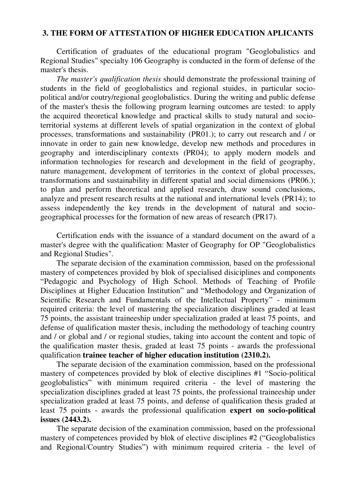#### **3. THE FORM OF ATTESTATION OF HIGHER EDUCATION APLICANTS**

Certification of graduates of the educational program "Geoglobalistics and Regional Studies" specialty 106 Geography is conducted in the form of defense of the master's thesis.

*The master's qualification thesis* should demonstrate the professional training of students in the field of geoglobalistics and regional stuides, in particular sociopolitical and/or coutry/regional geoglobalistics. During the writing and public defense of the master's thesis the following program learning outcomes are tested: to apply the acquired theoretical knowledge and practical skills to study natural and socioterritorial systems at different levels of spatial organization in the context of global processes, transformations and sustainability (PR01.); to carry out research and / or innovate in order to gain new knowledge, develop new methods and procedures in geography and interdisciplinary contexts (PR04); to apply modern models and information technologies for research and development in the field of geography, nature management, development of territories in the context of global processes, transformations and sustainability in different spatial and social dimensions (PR06.); to plan and perform theoretical and applied research, draw sound conclusions, analyze and present research results at the national and international levels (PR14); to assess independently the key trends in the development of natural and sociogeographical processes for the formation of new areas of research (PR17).

Certification ends with the issuance of a standard document on the award of a master's degree with the qualification: Master of Geography for OP "Geoglobalistics and Regional Studies".

The separate decision of the examination commission, based on the professional mastery of competences provided by blok of specialised disiciplines and components "Pedagogic and Psychology of High School. Methods of Teaching of Profile Disciplines at Higher Education Institution" and "Methodology and Organization of Scientific Research and Fundamentals of the Intellectual Property" - minimum required criteria: the level of mastering the specialization disciplines graded at least 75 points, the assistant traineeship under specialization graded at least 75 points, and defense of qualification master thesis, including the methodology of teaching country and / or global and / or regional studies, taking into account the content and topic of the qualification master thesis, graded at least 75 points - awards the professional qualification **trainee teacher of higher education institution (2310.2).**

The separate decision of the examination commission, based on the professional mastery of competences provided by blok of elective disciplines #1 "Socio-political geoglobalistics" with minimum required criteria - the level of mastering the specialization disciplines graded at least 75 points, the professional traineeship under specialization graded at least 75 points, and defense of qualification thesis graded at least 75 points - awards the professional qualification **expert on socio-political issues (2443.2).** 

The separate decision of the examination commission, based on the professional mastery of competences provided by blok of elective disciplines #2 ("Geoglobalistics and Regional/Country Studies") with minimum required criteria - the level of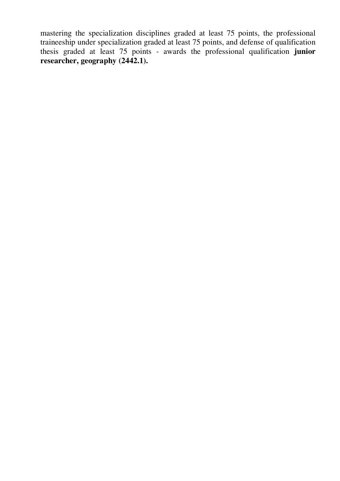mastering the specialization disciplines graded at least 75 points, the professional traineeship under specialization graded at least 75 points, and defense of qualification thesis graded at least 75 points - awards the professional qualification **junior researcher, geography (2442.1).**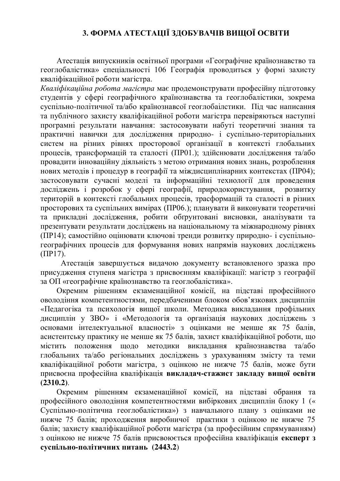## **3. ФОРМА АТЕСТАЦІЇ ЗДОБУВАЧІВ ВИЩОЇ ОСВІТИ**

Атестація випускників освітньої програми «Географічне країнознавство та геоглобалістика» спеціальності 106 Географія проводиться у формі захисту кваліфікаційної роботи магістра.

*Кваліфікаційна робота магістра* має продемонструвати професійну підготовку студентів у сфері географічного країнознавства та геоглобалістики, зокрема суспільно-політичної та/або країнознавсої геоглобаілстики. Під час написання та публічного захисту кваліфікаційної роботи магістра перевіряються наступні програмні результати навчання: застосовувати набуті теоретичні знання та практичні навички для дослідження природно- і суспільно-територіальних систем на різних рівнях просторової організації в контексті глобальних процесів, трансформацій та сталості (ПР01.); здійснювати дослідження та/або провадити інноваційну діяльність з метою отримання нових знань, розроблення нових методів і процедур в географії та міждисциплінарних контекстах (ПР04); застосовувати сучасні моделі та інформаційні технології для проведення досліджень і розробок у сфері географії, природокористування, розвитку територій в контексті глобальних процесів, трасформацій та сталості в різних просторових та суспільних вимірах (ПР06.); планувати й виконувати теоретичні та прикладні дослідження, робити обґрунтовані висновки, аналізувати та презентувати результати досліджень на національному та міжнародному рівнях (ПР14); самостійно оцінювати ключові тренди розвитку природно- і суспільногеографічних процесів для формування нових напрямів наукових досліджень (ПР17).

Атестація завершується видачою документу встановленого зразка про присудження ступеня магістра з присвоєнням кваліфікації: магістр з географії за ОП «географічне країнознавство та геоглобалістика».

Окремим рішенням екзаменаційної комісії, на підставі професійного оволодіння компетентностями, передбаченими блоком обов'язкових дисциплін «Педагогіка та психологія вищої школи. Методика викладання профільних дисциплін у ЗВО» і «Методологія та організація наукових досліджень з основами інтелектуальної власності» з оцінками не менше як 75 балів, асистентську практику не менше як 75 балів, захист кваліфікаційної роботи, що містить положення щодо методики викладання країнознавства та/або глобальних та/або регіональних досліджень з урахуванням змісту та теми кваліфікаційної роботи магістра, з оцінкою не нижче 75 балів, може бути присвоєна професійна кваліфікація **викладач-стажист закладу вищої освіти (2310.2)**.

Окремим рішенням екзаменаційної комісії, на підставі обрання та професійного оволодіння компетентностями вибіркових дисциплін блоку 1 (« Суспільно-політична геоглобалістика») з навчального плану з оцінками не нижче 75 балів; проходження виробничої практики з оцінкою не нижче 75 балів; захисту кваліфікаційної роботи магістра (за професійним спрямуванням) з оцінкою не нижче 75 балів присвоюється професійна кваліфікація **експерт з суспільно-політичних питань (2443.2**)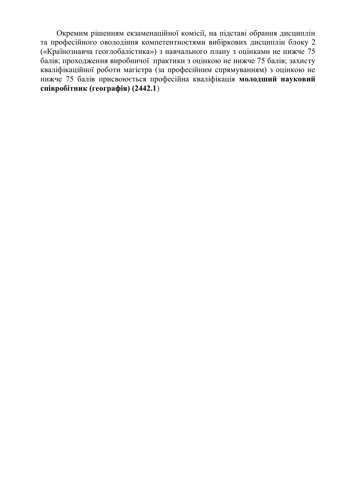Окремим рішенням екзаменаційної комісії, на підставі обрання дисциплін та професійного оволодіння компетентностями вибіркових дисциплін блоку 2 («Країнознавча геоглобалістика») з навчального плану з оцінками не нижче 75 балів; проходження виробничої практики з оцінкою не нижче 75 балів; захисту кваліфікаційної роботи магістра (за професійним спрямуванням) з оцінкою не нижче 75 балів присвоюється професійна кваліфікація **молодший науковий співробітник (географія) (2442.1**)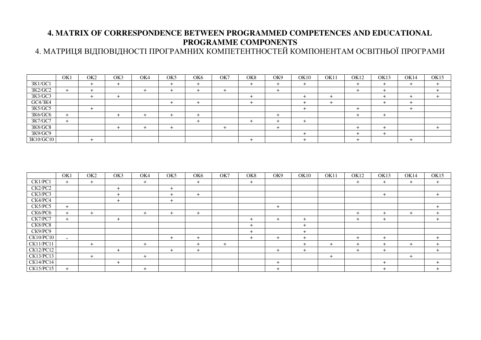## **4. MATRIX OF CORRESPONDENCE BETWEEN PROGRAMMED COMPETENCES AND EDUCATIONAL PROGRAMME COMPONENTS**

4. МАТРИЦЯ ВІДПОВІДНОСТІ ПРОГРАМНИХ КОМПЕТЕНТНОСТЕЙ КОМПОНЕНТАМ ОСВІТНЬОЇ ПРОГРАМИ

|           | OK1 | OK <sub>2</sub> | OK3 | OK4 | OK <sub>5</sub> | OK <sub>6</sub> | OK7 | OK8 | OK9      | OK10 | OK11 | OK12 | OK13 | <b>OK14</b> | OK15 |
|-----------|-----|-----------------|-----|-----|-----------------|-----------------|-----|-----|----------|------|------|------|------|-------------|------|
| 3K1/GC1   |     |                 |     |     |                 |                 |     |     | <b>+</b> |      |      |      |      |             |      |
| 3K2/GC2   |     |                 |     |     |                 |                 |     |     |          |      |      |      |      |             |      |
| 3K3/GC3   |     |                 |     |     |                 |                 |     |     |          |      |      |      |      |             |      |
| GC4/3K4   |     |                 |     |     |                 |                 |     |     |          |      |      |      |      |             |      |
| 3K5/GC5   |     |                 |     |     |                 |                 |     |     |          |      |      |      |      |             |      |
| 3K6/GC6   |     |                 |     |     |                 |                 |     |     |          |      |      |      |      |             |      |
| 3K7/GC7   |     |                 |     |     |                 |                 |     |     |          |      |      |      |      |             |      |
| 3K8/GC8   |     |                 |     |     |                 |                 |     |     |          |      |      |      |      |             |      |
| 3K9/GC9   |     |                 |     |     |                 |                 |     |     |          |      |      |      |      |             |      |
| 3K10/GC10 |     |                 |     |     |                 |                 |     |     |          |      |      |      |      |             |      |

|                  | OK1    | OK <sub>2</sub> | OK3    | OK4 | OK <sub>5</sub> | OK <sub>6</sub> | OK7 | OK8 | OK9 | OK10 | OK11 | OK12           | OK13 | OK14 | OK15  |
|------------------|--------|-----------------|--------|-----|-----------------|-----------------|-----|-----|-----|------|------|----------------|------|------|-------|
| CK1/PC1          | $+$    | $+$             |        | $+$ |                 | $+$             |     | $+$ |     |      |      | $+$            | $+$  | $+$  | $+$   |
| CK2/PC2          |        |                 | $\pm$  |     | $+$             |                 |     |     |     |      |      |                |      |      |       |
| CK3/PC3          |        |                 | $+$    |     | $+$             | $+$             |     |     |     |      |      |                | $+$  |      | $\pm$ |
| CK4/PC4          |        |                 | $^{+}$ |     | $+$             |                 |     |     |     |      |      |                |      |      |       |
| CK5/PC5          | $+$    |                 |        |     |                 |                 |     |     | $+$ |      |      |                |      |      |       |
| CK6/PC6          | $^{+}$ | $+$             |        | $+$ | $+$             | $\overline{+}$  |     |     |     |      |      |                | $+$  | $+$  |       |
| CK7/PC7          | $+$    |                 | $\pm$  |     |                 |                 |     | $+$ | ٠   | $+$  |      | ٠              | $+$  |      |       |
| CK8/PC8          |        |                 |        |     |                 |                 |     | $+$ |     | $+$  |      |                |      |      |       |
| CK9/PC9          |        |                 |        |     |                 |                 |     | $+$ |     | $+$  |      |                |      |      |       |
| <b>CK10/PC10</b> |        |                 |        |     | $+$             |                 |     | $+$ | +   | $+$  |      |                | $+$  |      |       |
| CK11/PC11        |        | $+$             |        | $+$ |                 | $^{+}$          | $+$ |     |     | $+$  | $+$  | $\overline{+}$ | $+$  | $+$  |       |
| CK12/PC12        |        |                 | $+$    |     | $+$             | $+$             |     |     |     | $+$  |      | $^{+}$         | $+$  |      |       |
| CK13/PC13        |        | $+$             |        | $+$ |                 |                 |     |     |     |      | $+$  |                |      | $+$  |       |
| CK14/PC14        |        |                 | $+$    |     |                 |                 |     |     | $+$ |      |      |                | $+$  |      |       |
| CK15/PC15        | $+$    |                 |        | $+$ |                 |                 |     |     | $+$ |      |      |                | $+$  |      |       |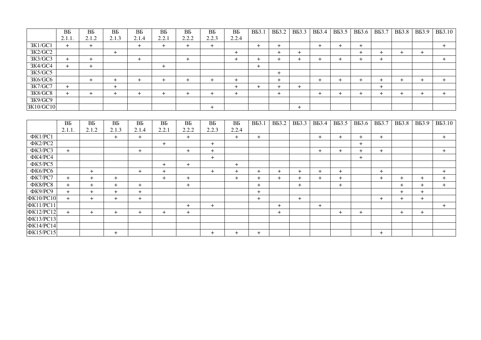|           | BБ    | BБ    | BБ     | BБ     | BБ        | BБ    | BБ        | BБ        | <b>B</b> <sub>5</sub> 3.1 | <b>B</b> B3.2 | <b>B</b> B3.3 | <b>B</b> B3.4 | <b>B</b> B3.5 | <b>B</b> B3.6 | <b>B</b> B3.7 | <b>B</b> <sub>5</sub> 3.8 | <b>B</b> <sub>5</sub> 3.9 | <b>B</b> <sub>5</sub> 3.10 |
|-----------|-------|-------|--------|--------|-----------|-------|-----------|-----------|---------------------------|---------------|---------------|---------------|---------------|---------------|---------------|---------------------------|---------------------------|----------------------------|
|           | 2.1.1 | 2.1.2 | 2.1.3  | 2.1.4  | 2.2.1     | 2.2.2 | 2.2.3     | 2.2.4     |                           |               |               |               |               |               |               |                           |                           |                            |
| 3K1/GC1   | $+$   | +     |        | $+$    | $+$       | ÷     | $+$       |           | $\pm$                     | $+$           |               | +             | ٠             | $\pm$         |               |                           |                           | $\pm$                      |
| 3K2/GC2   |       |       | $\div$ |        |           |       |           | $\pm$     |                           | $^{+}$        | +             |               |               | +             |               |                           | $+$                       |                            |
| 3K3/GC3   | $\pm$ |       |        | $^{+}$ |           | ᅥ     |           | $^+$      |                           | +             |               |               | ⊣             | +             | $\pm$         |                           |                           | $+$                        |
| 3K4/GC4   | $+$   |       |        |        | $\ddot{}$ |       |           |           | $\pm$                     |               |               |               |               |               |               |                           |                           |                            |
| 3K5/GC5   |       |       |        |        |           |       |           |           |                           | $\pm$         |               |               |               |               |               |                           |                           |                            |
| 3K6/GC6   |       | ÷     | ᆠ      | $+$    | $\pm$     | +     | $^{+}$    | $^{+}$    |                           | $\ddot{}$     |               | ÷             | $\div$        | $\pm$         | +             | $\div$                    | ÷                         | $+$                        |
| 3K7/GC7   | $+$   |       | $+$    |        |           |       |           | $^+$      | $+$                       | $\div$        | $\pm$         |               |               |               | $^+$          |                           |                           |                            |
| 3K8/GC8   | $+$   |       | ∸      | $+$    | $\pm$     | +     | $\ddot{}$ | $\ddot{}$ |                           | $\ddot{}$     |               |               | +             | +             | ÷             | +                         | ÷                         | $+$                        |
| 3K9/GC9   |       |       |        |        |           |       |           |           |                           |               |               |               |               |               |               |                           |                           |                            |
| 3K10/GC10 |       |       |        |        |           |       | $\ddot{}$ |           |                           |               |               |               |               |               |               |                           |                           |                            |
|           |       |       |        |        |           |       |           |           |                           |               |               |               |               |               |               |                           |                           |                            |

|                  | BБ     | BБ     | BБ    | BБ    | BБ     | BБ    | BБ    | BБ    | <b>B</b> <sub>5</sub> 3.1 | <b>B</b> B3.2 | <b>B</b> B3.3 | <b>ВБЗ.4</b> | <b>B</b> B3.5 | <b>B</b> B3.6 | <b>B</b> B3.7 | <b>B</b> <sub>5</sub> 3.8 | <b>B</b> <sub>5</sub> 3.9 | <b>B</b> B3.10 |
|------------------|--------|--------|-------|-------|--------|-------|-------|-------|---------------------------|---------------|---------------|--------------|---------------|---------------|---------------|---------------------------|---------------------------|----------------|
|                  | 2.1.1. | 2.1.2  | 2.1.3 | 2.1.4 | 2.2.1  | 2.2.2 | 2.2.3 | 2.2.4 |                           |               |               |              |               |               |               |                           |                           |                |
| ΦK1/PC1          |        |        | $+$   | $+$   |        | $+$   |       | $+$   | $+$                       |               |               | $+$          | $+$           | $+$           | $+$           |                           |                           | $+$            |
| ФК2/РС2          |        |        |       |       | $+$    |       | $+$   |       |                           |               |               |              |               | $+$           |               |                           |                           |                |
| ФК3/РС3          | $+$    |        |       | $+$   |        | $+$   | $+$   |       |                           |               |               | $+$          | $+$           | $+$           | $+$           |                           |                           | $+$            |
| ФК4/РС4          |        |        |       |       |        |       | $+$   |       |                           |               |               |              |               | $+$           |               |                           |                           |                |
| ФК5/РС5          |        |        |       |       | $+$    | $+$   |       | $+$   |                           |               |               |              |               |               |               |                           |                           |                |
| ФК6/РС6          |        | $+$    |       | $+$   | $+$    |       | $+$   | $+$   | $+$                       | $+$           | $^{+}$        | $\div$       | $+$           |               | $+$           |                           |                           | $+$            |
| ФК7/РС7          | $+$    | $+$    | $+$   |       | $+$    | $+$   |       | $+$   | $+$                       | $+$           | $\ddot{}$     | $^+$         | $+$           |               | $+$           | $^{+}$                    | $^+$                      | $^{+}$         |
| ФК8/РС8          | $+$    | $+$    | $+$   | $+$   |        | $+$   |       |       | $+$                       |               | $+$           |              | $+$           |               |               | $+$                       | $+$                       | $+$            |
| $\Phi$ K9/PC9    | $+$    | $+$    | $+$   | $+$   |        |       |       |       | $+$                       |               |               |              |               |               |               | $+$                       | $+$                       |                |
| ΦK10/PC10        | $+$    | $+$    | $+$   | $+$   |        |       |       |       | $+$                       |               | $+$           |              |               |               | $+$           | $+$                       | $+$                       |                |
| <b>ФК11/РС11</b> |        |        |       |       |        | $+$   | $+$   |       |                           | $+$           |               | $+$          |               |               |               |                           |                           | $+$            |
| ΦK12/PC12        | $+$    | $^{+}$ | $+$   | $+$   | $^{+}$ | $+$   |       |       |                           | $+$           |               |              | $+$           | $+$           |               | $+$                       | $+$                       |                |
| <b>ФК13/РС13</b> |        |        |       |       |        |       |       |       |                           |               |               |              |               |               |               |                           |                           |                |
| ΦK14/PC14        |        |        |       |       |        |       |       |       |                           |               |               |              |               |               |               |                           |                           |                |
| ΦK15/PC15        |        |        | $+$   |       |        |       | $+$   | $+$   | $+$                       |               |               |              |               |               | $+$           |                           |                           |                |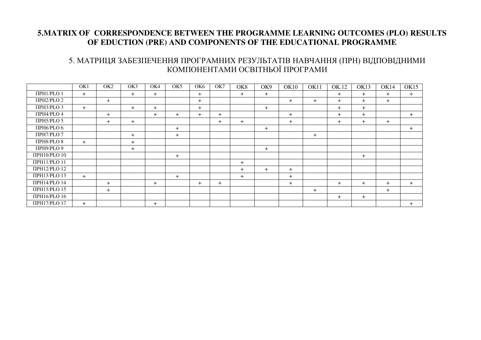#### **5.MATRIX OF CORRESPONDENCE BETWEEN THE PROGRAMME LEARNING OUTCOMES (PLO) RESULTS OF EDUCTION (PRE) AND COMPONENTS OF THE EDUCATIONAL PROGRAMME**

#### 5. МАТРИЦЯ ЗАБЕЗПЕЧЕННЯ ПРОГРАМНИХ РЕЗУЛЬТАТІВ НАВЧАННЯ (ПРН) ВІДПОВІДНИМИ КОМПОНЕНТАМИ ОСВІТНЬОЇ ПРОГРАМИ

|                      | OK1 | OK <sub>2</sub> | OK3 | OK4    | OK <sub>5</sub> | OK <sub>6</sub> | OK7 | OK <sub>8</sub> | OK9 | <b>OK10</b> | OK11 | OK.12 | OK13 | OK14 | <b>OK15</b> |
|----------------------|-----|-----------------|-----|--------|-----------------|-----------------|-----|-----------------|-----|-------------|------|-------|------|------|-------------|
| <b>ITPH1/PLO 1</b>   | $+$ |                 | $+$ | $+$    |                 | $+$             |     | $+$             | $+$ |             |      | $+$   | $+$  | $+$  | $+$         |
| $\Pi$ PH2/PLO 2      |     | $+$             |     |        |                 | $+$             |     |                 |     | $+$         | $+$  | $+$   | $+$  | $+$  |             |
| ПРНЗ/PLO 3           | $+$ |                 | $+$ | $+$    |                 | $+$             |     |                 | $+$ |             |      | $+$   | $+$  |      |             |
| ΠΡΗ4/PLO 4           |     | $+$             |     | $^{+}$ | $+$             | $+$             | $+$ |                 |     | $+$         |      | $+$   | $+$  |      | $+$         |
| <b>TIPH5/PLO 5</b>   |     | $+$             | $+$ |        |                 |                 | $+$ | $+$             |     | $+$         |      | $+$   | $+$  | $+$  |             |
| ПРН6/PLO 6           |     |                 |     |        | $+$             |                 |     |                 | $+$ |             |      |       |      |      | $+$         |
| ΠΡΗ7/PLO 7           |     |                 | $+$ |        | $+$             |                 |     |                 |     |             | $+$  |       |      |      |             |
| <b>TIPH8/PLO 8</b>   | $+$ |                 | $+$ |        |                 |                 |     |                 |     |             |      |       |      |      |             |
| ПРН9/PLO 9           |     |                 | $+$ |        |                 |                 |     |                 | $+$ |             |      |       |      |      |             |
| <b>TIPH10/PLO 10</b> |     |                 |     |        | $+$             |                 |     |                 |     |             |      |       | $+$  |      |             |
| ΠΡΗ11/PLO 11         |     |                 |     |        |                 |                 |     | $+$             |     |             |      |       |      |      |             |
| ПРН12/РLO 12         |     |                 |     |        |                 |                 |     | $+$             | $+$ | $+$         |      |       |      |      |             |
| ПРН13/РLO 13         | $+$ |                 |     |        | $+$             |                 |     | $+$             |     | $+$         |      |       |      |      |             |
| ПРН14/PLO 14         |     | $+$             |     | $+$    |                 | $+$             | $+$ |                 |     | $+$         |      | $+$   | $+$  | $+$  | $+$         |
| ΠΡΗ15/PLO 15         |     | $+$             |     |        |                 |                 |     |                 |     |             | $+$  |       |      | $+$  |             |
| ПРН16/РLО 16         |     |                 |     |        |                 |                 |     |                 |     |             |      | $+$   | $+$  |      |             |
| <b>ΠΡΗ17/PLO 17</b>  | $+$ |                 |     | $+$    |                 |                 |     |                 |     |             |      |       |      |      | $+$         |